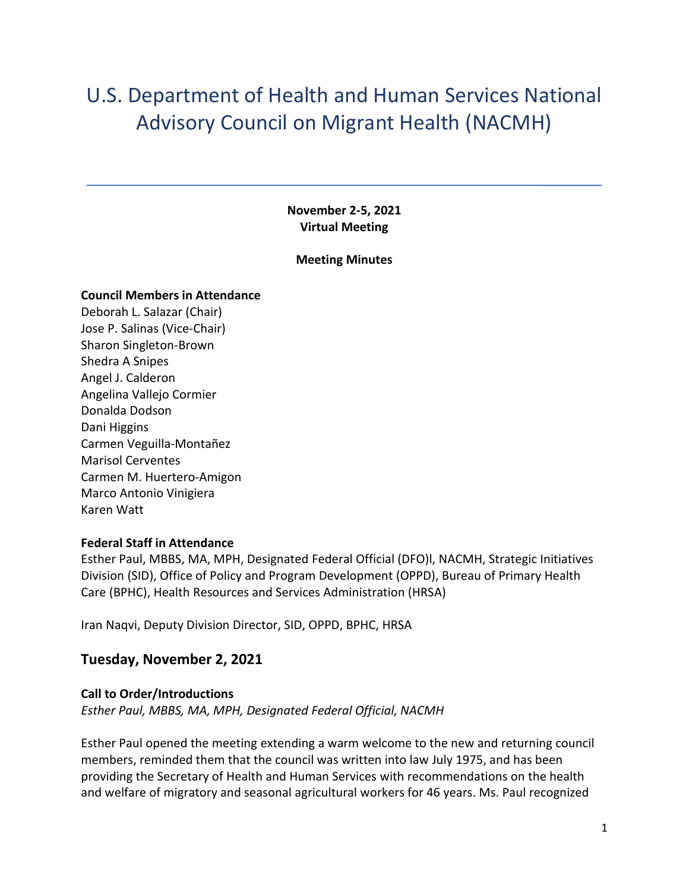# U.S. Department of Health and Human Services National Advisory Council on Migrant Health (NACMH)

**November 2-5, 2021 Virtual Meeting** 

#### **Meeting Minutes**

#### **Council Members in Attendance**

Deborah L. Salazar (Chair) Jose P. Salinas (Vice-Chair) Sharon Singleton-Brown Shedra A Snipes Angel J. Calderon Angelina Vallejo Cormier Donalda Dodson Dani Higgins Carmen Veguilla-Montañez Marisol Cerventes Carmen M. Huertero-Amigon Marco Antonio Vinigiera Karen Watt

#### **Federal Staff in Attendance**

Esther Paul, MBBS, MA, MPH, Designated Federal Official (DFO)l, NACMH, Strategic Initiatives Division (SID), Office of Policy and Program Development (OPPD), Bureau of Primary Health Care (BPHC), Health Resources and Services Administration (HRSA)

Iran Naqvi, Deputy Division Director, SID, OPPD, BPHC, HRSA

#### **Tuesday, November 2, 2021**

## **Call to Order/Introductions**

*Esther Paul, MBBS, MA, MPH, Designated Federal Official, NACMH* 

Esther Paul opened the meeting extending a warm welcome to the new and returning council members, reminded them that the council was written into law July 1975, and has been providing the Secretary of Health and Human Services with recommendations on the health and welfare of migratory and seasonal agricultural workers for 46 years. Ms. Paul recognized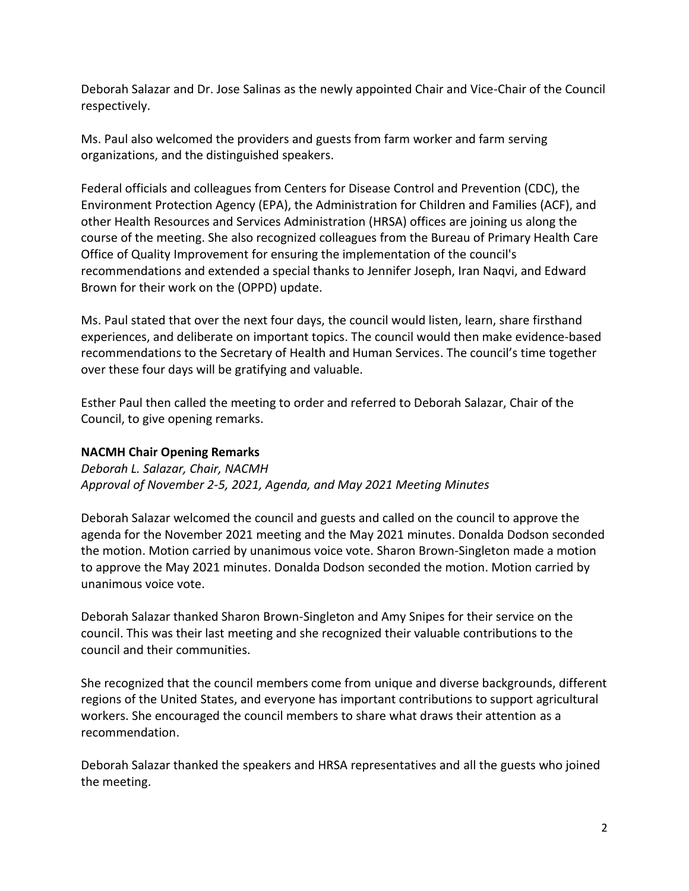Deborah Salazar and Dr. Jose Salinas as the newly appointed Chair and Vice-Chair of the Council respectively.

Ms. Paul also welcomed the providers and guests from farm worker and farm serving organizations, and the distinguished speakers.

Federal officials and colleagues from Centers for Disease Control and Prevention (CDC), the Environment Protection Agency (EPA), the Administration for Children and Families (ACF), and other Health Resources and Services Administration (HRSA) offices are joining us along the course of the meeting. She also recognized colleagues from the Bureau of Primary Health Care Office of Quality Improvement for ensuring the implementation of the council's recommendations and extended a special thanks to Jennifer Joseph, Iran Naqvi, and Edward Brown for their work on the (OPPD) update.

Ms. Paul stated that over the next four days, the council would listen, learn, share firsthand experiences, and deliberate on important topics. The council would then make evidence-based recommendations to the Secretary of Health and Human Services. The council's time together over these four days will be gratifying and valuable.

Esther Paul then called the meeting to order and referred to Deborah Salazar, Chair of the Council, to give opening remarks.

#### **NACMH Chair Opening Remarks**

*Deborah L. Salazar, Chair, NACMH Approval of November 2-5, 2021, Agenda, and May 2021 Meeting Minutes* 

Deborah Salazar welcomed the council and guests and called on the council to approve the agenda for the November 2021 meeting and the May 2021 minutes. Donalda Dodson seconded the motion. Motion carried by unanimous voice vote. Sharon Brown-Singleton made a motion to approve the May 2021 minutes. Donalda Dodson seconded the motion. Motion carried by unanimous voice vote.

Deborah Salazar thanked Sharon Brown-Singleton and Amy Snipes for their service on the council. This was their last meeting and she recognized their valuable contributions to the council and their communities.

She recognized that the council members come from unique and diverse backgrounds, different regions of the United States, and everyone has important contributions to support agricultural workers. She encouraged the council members to share what draws their attention as a recommendation.

Deborah Salazar thanked the speakers and HRSA representatives and all the guests who joined the meeting.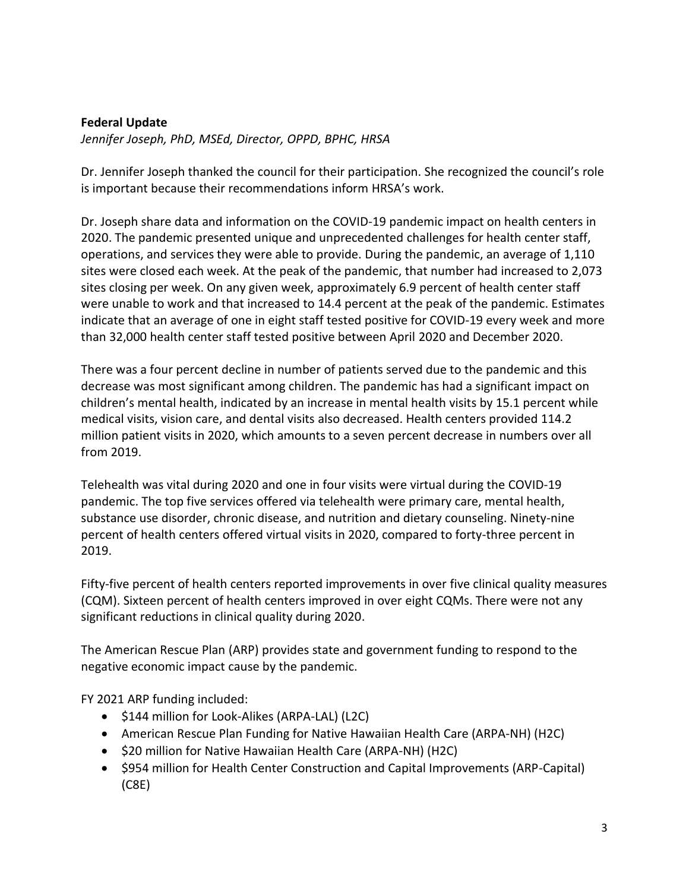#### **Federal Update**

*Jennifer Joseph, PhD, MSEd, Director, OPPD, BPHC, HRSA* 

Dr. Jennifer Joseph thanked the council for their participation. She recognized the council's role is important because their recommendations inform HRSA's work.

Dr. Joseph share data and information on the COVID-19 pandemic impact on health centers in 2020. The pandemic presented unique and unprecedented challenges for health center staff, operations, and services they were able to provide. During the pandemic, an average of 1,110 sites were closed each week. At the peak of the pandemic, that number had increased to 2,073 sites closing per week. On any given week, approximately 6.9 percent of health center staff were unable to work and that increased to 14.4 percent at the peak of the pandemic. Estimates indicate that an average of one in eight staff tested positive for COVID-19 every week and more than 32,000 health center staff tested positive between April 2020 and December 2020.

There was a four percent decline in number of patients served due to the pandemic and this decrease was most significant among children. The pandemic has had a significant impact on children's mental health, indicated by an increase in mental health visits by 15.1 percent while medical visits, vision care, and dental visits also decreased. Health centers provided 114.2 million patient visits in 2020, which amounts to a seven percent decrease in numbers over all from 2019.

Telehealth was vital during 2020 and one in four visits were virtual during the COVID-19 pandemic. The top five services offered via telehealth were primary care, mental health, substance use disorder, chronic disease, and nutrition and dietary counseling. Ninety-nine percent of health centers offered virtual visits in 2020, compared to forty-three percent in 2019.

Fifty-five percent of health centers reported improvements in over five clinical quality measures (CQM). Sixteen percent of health centers improved in over eight CQMs. There were not any significant reductions in clinical quality during 2020.

The American Rescue Plan (ARP) provides state and government funding to respond to the negative economic impact cause by the pandemic.

FY 2021 ARP funding included:

- \$144 million for Look-Alikes (ARPA-LAL) (L2C)
- American Rescue Plan Funding for Native Hawaiian Health Care (ARPA-NH) (H2C)
- \$20 million for Native Hawaiian Health Care (ARPA-NH) (H2C)
- \$954 million for Health Center Construction and Capital Improvements (ARP-Capital) (C8E)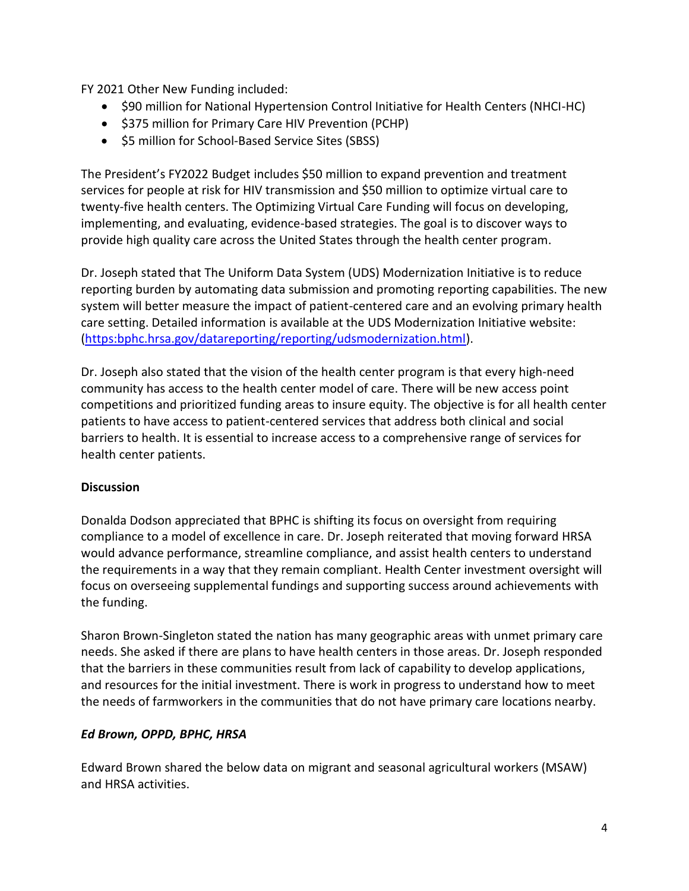FY 2021 Other New Funding included:

- \$90 million for National Hypertension Control Initiative for Health Centers (NHCI-HC)
- \$375 million for Primary Care HIV Prevention (PCHP)
- \$5 million for School-Based Service Sites (SBSS)

The President's FY2022 Budget includes \$50 million to expand prevention and treatment services for people at risk for HIV transmission and \$50 million to optimize virtual care to twenty-five health centers. The Optimizing Virtual Care Funding will focus on developing, implementing, and evaluating, evidence-based strategies. The goal is to discover ways to provide high quality care across the United States through the health center program.

Dr. Joseph stated that The Uniform Data System (UDS) Modernization Initiative is to reduce reporting burden by automating data submission and promoting reporting capabilities. The new system will better measure the impact of patient-centered care and an evolving primary health care setting. Detailed information is available at the UDS Modernization Initiative website: [\(https:bphc.hrsa.gov/datareporting/reporting/udsmodernization.html\)](https://bphc.hrsa.gov/datareporting/reporting/udsmodernization.html).

Dr. Joseph also stated that the vision of the health center program is that every high-need community has access to the health center model of care. There will be new access point competitions and prioritized funding areas to insure equity. The objective is for all health center patients to have access to patient-centered services that address both clinical and social barriers to health. It is essential to increase access to a comprehensive range of services for health center patients.

#### **Discussion**

Donalda Dodson appreciated that BPHC is shifting its focus on oversight from requiring compliance to a model of excellence in care. Dr. Joseph reiterated that moving forward HRSA would advance performance, streamline compliance, and assist health centers to understand the requirements in a way that they remain compliant. Health Center investment oversight will focus on overseeing supplemental fundings and supporting success around achievements with the funding.

Sharon Brown-Singleton stated the nation has many geographic areas with unmet primary care needs. She asked if there are plans to have health centers in those areas. Dr. Joseph responded that the barriers in these communities result from lack of capability to develop applications, and resources for the initial investment. There is work in progress to understand how to meet the needs of farmworkers in the communities that do not have primary care locations nearby.

#### *Ed Brown, OPPD, BPHC, HRSA*

Edward Brown shared the below data on migrant and seasonal agricultural workers (MSAW) and HRSA activities.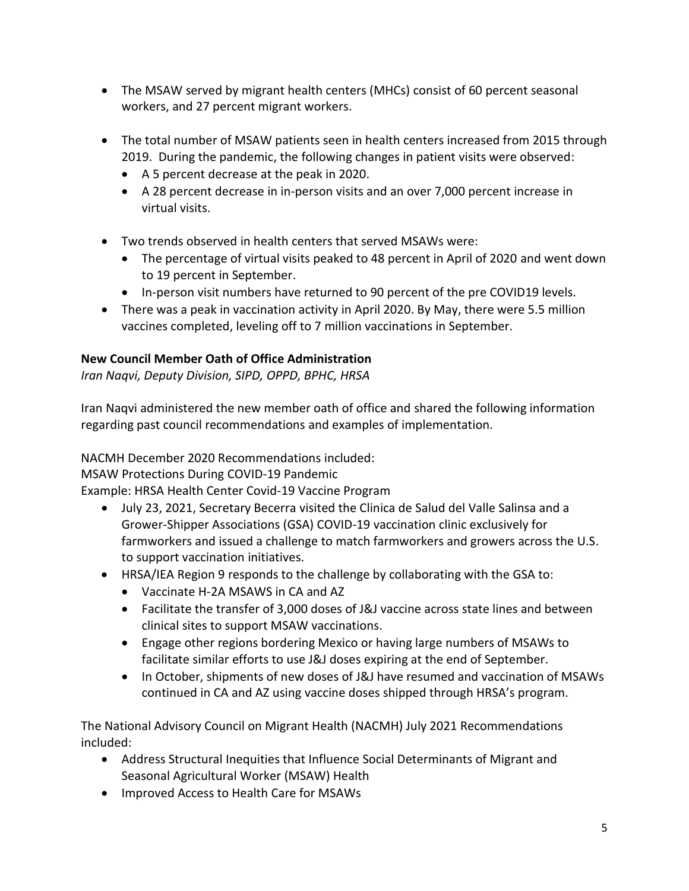- The MSAW served by migrant health centers (MHCs) consist of 60 percent seasonal workers, and 27 percent migrant workers.
- The total number of MSAW patients seen in health centers increased from 2015 through 2019. During the pandemic, the following changes in patient visits were observed:
	- A 5 percent decrease at the peak in 2020.
	- A 28 percent decrease in in-person visits and an over 7,000 percent increase in virtual visits.
- Two trends observed in health centers that served MSAWs were:
	- The percentage of virtual visits peaked to 48 percent in April of 2020 and went down to 19 percent in September.
	- In-person visit numbers have returned to 90 percent of the pre COVID19 levels.
- There was a peak in vaccination activity in April 2020. By May, there were 5.5 million vaccines completed, leveling off to 7 million vaccinations in September.

## **New Council Member Oath of Office Administration**

*Iran Naqvi, Deputy Division, SIPD, OPPD, BPHC, HRSA* 

Iran Naqvi administered the new member oath of office and shared the following information regarding past council recommendations and examples of implementation.

NACMH December 2020 Recommendations included:

MSAW Protections During COVID-19 Pandemic

Example: HRSA Health Center Covid-19 Vaccine Program

- July 23, 2021, Secretary Becerra visited the Clinica de Salud del Valle Salinsa and a Grower-Shipper Associations (GSA) COVID-19 vaccination clinic exclusively for farmworkers and issued a challenge to match farmworkers and growers across the U.S. to support vaccination initiatives.
- HRSA/IEA Region 9 responds to the challenge by collaborating with the GSA to:
	- Vaccinate H-2A MSAWS in CA and AZ
	- Facilitate the transfer of 3,000 doses of J&J vaccine across state lines and between clinical sites to support MSAW vaccinations.
	- Engage other regions bordering Mexico or having large numbers of MSAWs to facilitate similar efforts to use J&J doses expiring at the end of September.
	- In October, shipments of new doses of J&J have resumed and vaccination of MSAWs continued in CA and AZ using vaccine doses shipped through HRSA's program.

The National Advisory Council on Migrant Health (NACMH) July 2021 Recommendations included:

- Address Structural Inequities that Influence Social Determinants of Migrant and Seasonal Agricultural Worker (MSAW) Health
- Improved Access to Health Care for MSAWs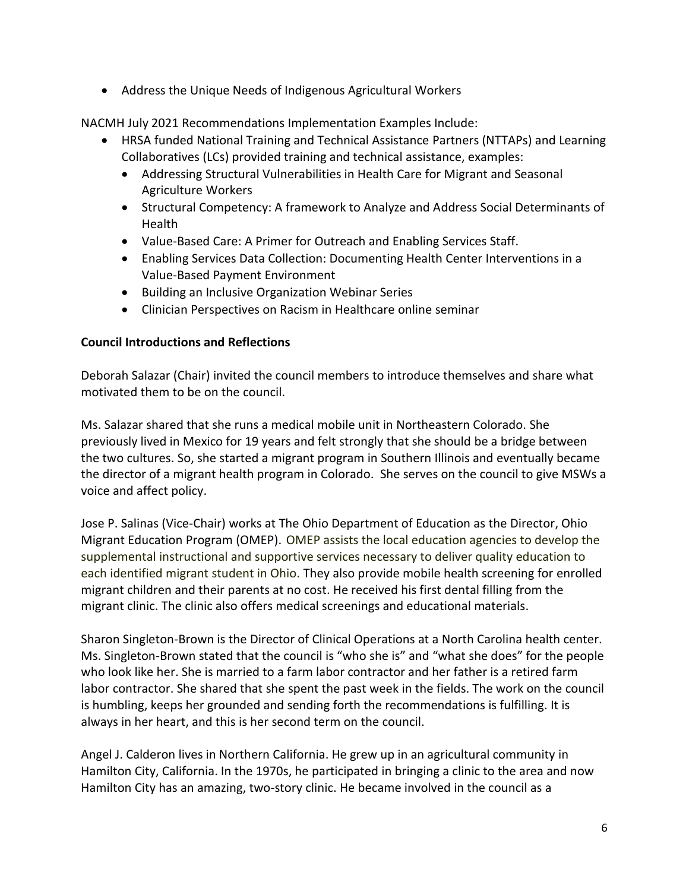• Address the Unique Needs of Indigenous Agricultural Workers

NACMH July 2021 Recommendations Implementation Examples Include:

- HRSA funded National Training and Technical Assistance Partners (NTTAPs) and Learning Collaboratives (LCs) provided training and technical assistance, examples:
	- Addressing Structural Vulnerabilities in Health Care for Migrant and Seasonal Agriculture Workers
	- Structural Competency: A framework to Analyze and Address Social Determinants of Health
	- Value-Based Care: A Primer for Outreach and Enabling Services Staff.
	- Enabling Services Data Collection: Documenting Health Center Interventions in a Value-Based Payment Environment
	- Building an Inclusive Organization Webinar Series
	- Clinician Perspectives on Racism in Healthcare online seminar

#### **Council Introductions and Reflections**

Deborah Salazar (Chair) invited the council members to introduce themselves and share what motivated them to be on the council.

Ms. Salazar shared that she runs a medical mobile unit in Northeastern Colorado. She previously lived in Mexico for 19 years and felt strongly that she should be a bridge between the two cultures. So, she started a migrant program in Southern Illinois and eventually became the director of a migrant health program in Colorado. She serves on the council to give MSWs a voice and affect policy.

Jose P. Salinas (Vice-Chair) works at The Ohio Department of Education as the Director, Ohio Migrant Education Program (OMEP). OMEP assists the local education agencies to develop the supplemental instructional and supportive services necessary to deliver quality education to each identified migrant student in Ohio. They also provide mobile health screening for enrolled migrant children and their parents at no cost. He received his first dental filling from the migrant clinic. The clinic also offers medical screenings and educational materials.

Sharon Singleton-Brown is the Director of Clinical Operations at a North Carolina health center. Ms. Singleton-Brown stated that the council is "who she is" and "what she does" for the people who look like her. She is married to a farm labor contractor and her father is a retired farm labor contractor. She shared that she spent the past week in the fields. The work on the council is humbling, keeps her grounded and sending forth the recommendations is fulfilling. It is always in her heart, and this is her second term on the council.

Angel J. Calderon lives in Northern California. He grew up in an agricultural community in Hamilton City, California. In the 1970s, he participated in bringing a clinic to the area and now Hamilton City has an amazing, two-story clinic. He became involved in the council as a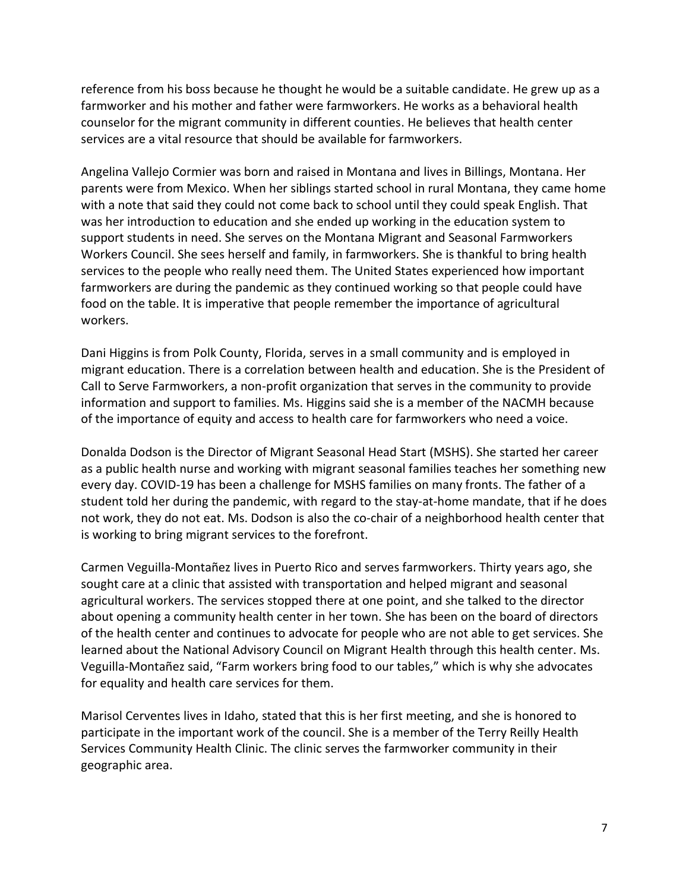reference from his boss because he thought he would be a suitable candidate. He grew up as a farmworker and his mother and father were farmworkers. He works as a behavioral health counselor for the migrant community in different counties. He believes that health center services are a vital resource that should be available for farmworkers.

Angelina Vallejo Cormier was born and raised in Montana and lives in Billings, Montana. Her parents were from Mexico. When her siblings started school in rural Montana, they came home with a note that said they could not come back to school until they could speak English. That was her introduction to education and she ended up working in the education system to support students in need. She serves on the Montana Migrant and Seasonal Farmworkers Workers Council. She sees herself and family, in farmworkers. She is thankful to bring health services to the people who really need them. The United States experienced how important farmworkers are during the pandemic as they continued working so that people could have food on the table. It is imperative that people remember the importance of agricultural workers.

Dani Higgins is from Polk County, Florida, serves in a small community and is employed in migrant education. There is a correlation between health and education. She is the President of Call to Serve Farmworkers, a non-profit organization that serves in the community to provide information and support to families. Ms. Higgins said she is a member of the NACMH because of the importance of equity and access to health care for farmworkers who need a voice.

Donalda Dodson is the Director of Migrant Seasonal Head Start (MSHS). She started her career as a public health nurse and working with migrant seasonal families teaches her something new every day. COVID-19 has been a challenge for MSHS families on many fronts. The father of a student told her during the pandemic, with regard to the stay-at-home mandate, that if he does not work, they do not eat. Ms. Dodson is also the co-chair of a neighborhood health center that is working to bring migrant services to the forefront.

Carmen Veguilla-Montañez lives in Puerto Rico and serves farmworkers. Thirty years ago, she sought care at a clinic that assisted with transportation and helped migrant and seasonal agricultural workers. The services stopped there at one point, and she talked to the director about opening a community health center in her town. She has been on the board of directors of the health center and continues to advocate for people who are not able to get services. She learned about the National Advisory Council on Migrant Health through this health center. Ms. Veguilla-Montañez said, "Farm workers bring food to our tables," which is why she advocates for equality and health care services for them.

Marisol Cerventes lives in Idaho, stated that this is her first meeting, and she is honored to participate in the important work of the council. She is a member of the Terry Reilly Health Services Community Health Clinic. The clinic serves the farmworker community in their geographic area.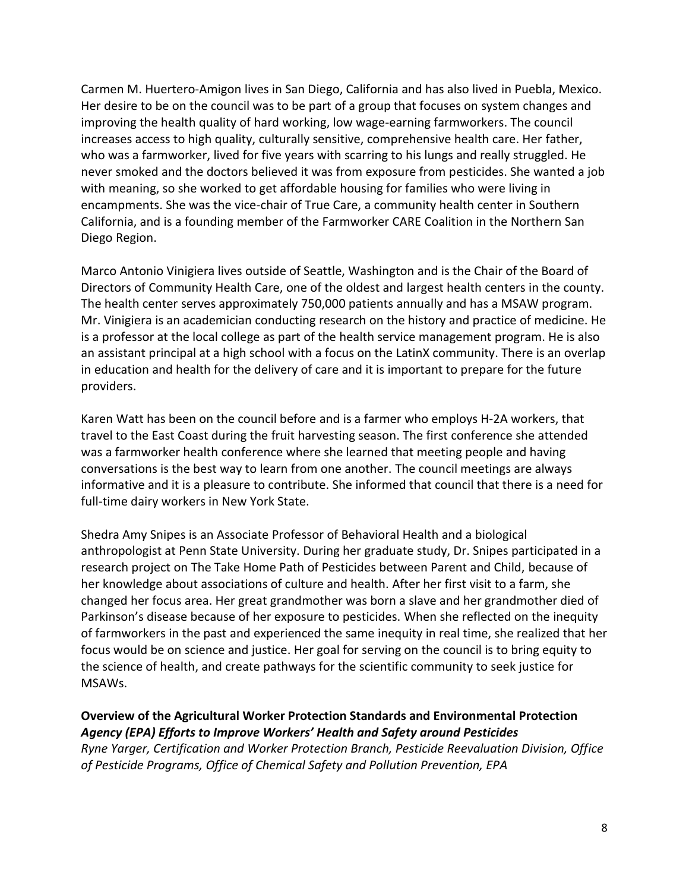Carmen M. Huertero-Amigon lives in San Diego, California and has also lived in Puebla, Mexico. Her desire to be on the council was to be part of a group that focuses on system changes and improving the health quality of hard working, low wage-earning farmworkers. The council increases access to high quality, culturally sensitive, comprehensive health care. Her father, who was a farmworker, lived for five years with scarring to his lungs and really struggled. He never smoked and the doctors believed it was from exposure from pesticides. She wanted a job with meaning, so she worked to get affordable housing for families who were living in encampments. She was the vice-chair of True Care, a community health center in Southern California, and is a founding member of the Farmworker CARE Coalition in the Northern San Diego Region.

Marco Antonio Vinigiera lives outside of Seattle, Washington and is the Chair of the Board of Directors of Community Health Care, one of the oldest and largest health centers in the county. The health center serves approximately 750,000 patients annually and has a MSAW program. Mr. Vinigiera is an academician conducting research on the history and practice of medicine. He is a professor at the local college as part of the health service management program. He is also an assistant principal at a high school with a focus on the LatinX community. There is an overlap in education and health for the delivery of care and it is important to prepare for the future providers.

Karen Watt has been on the council before and is a farmer who employs H-2A workers, that travel to the East Coast during the fruit harvesting season. The first conference she attended was a farmworker health conference where she learned that meeting people and having conversations is the best way to learn from one another. The council meetings are always informative and it is a pleasure to contribute. She informed that council that there is a need for full-time dairy workers in New York State.

Shedra Amy Snipes is an Associate Professor of Behavioral Health and a biological anthropologist at Penn State University. During her graduate study, Dr. Snipes participated in a research project on The Take Home Path of Pesticides between Parent and Child, because of her knowledge about associations of culture and health. After her first visit to a farm, she changed her focus area. Her great grandmother was born a slave and her grandmother died of Parkinson's disease because of her exposure to pesticides. When she reflected on the inequity of farmworkers in the past and experienced the same inequity in real time, she realized that her focus would be on science and justice. Her goal for serving on the council is to bring equity to the science of health, and create pathways for the scientific community to seek justice for MSAWs.

#### **Overview of the Agricultural Worker Protection Standards and Environmental Protection**  *Agency (EPA) Efforts to Improve Workers' Health and Safety around Pesticides Ryne Yarger, Certification and Worker Protection Branch, Pesticide Reevaluation Division, Office*

*of Pesticide Programs, Office of Chemical Safety and Pollution Prevention, EPA*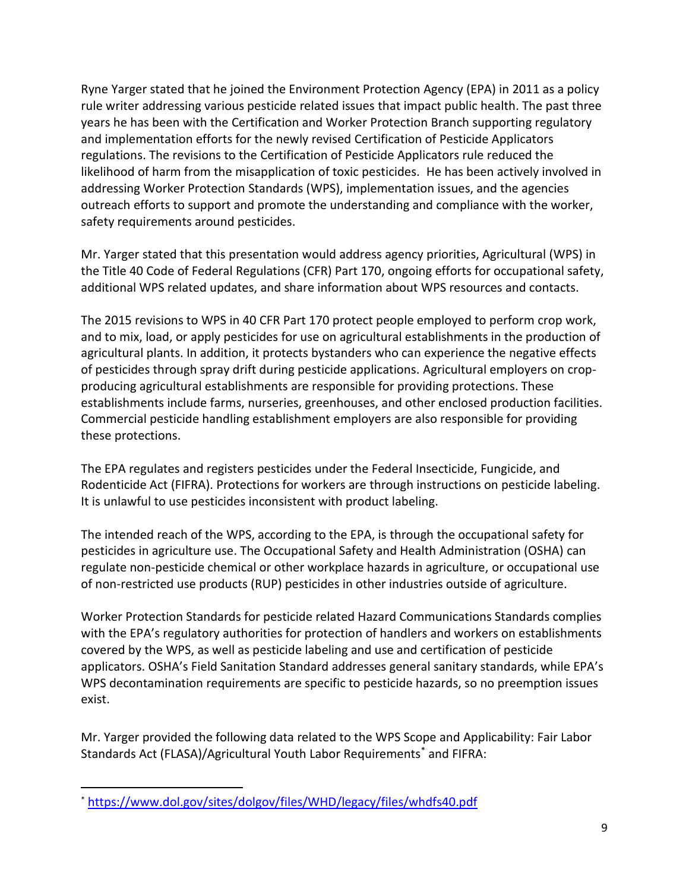Ryne Yarger stated that he joined the Environment Protection Agency (EPA) in 2011 as a policy rule writer addressing various pesticide related issues that impact public health. The past three years he has been with the Certification and Worker Protection Branch supporting regulatory and implementation efforts for the newly revised Certification of Pesticide Applicators regulations. The revisions to the Certification of Pesticide Applicators rule reduced the likelihood of harm from the misapplication of toxic pesticides. He has been actively involved in addressing Worker Protection Standards (WPS), implementation issues, and the agencies outreach efforts to support and promote the understanding and compliance with the worker, safety requirements around pesticides.

Mr. Yarger stated that this presentation would address agency priorities, Agricultural (WPS) in the Title 40 Code of Federal Regulations (CFR) Part 170, ongoing efforts for occupational safety, additional WPS related updates, and share information about WPS resources and contacts.

The 2015 revisions to WPS in 40 CFR Part 170 protect people employed to perform crop work, and to mix, load, or apply pesticides for use on agricultural establishments in the production of agricultural plants. In addition, it protects bystanders who can experience the negative effects of pesticides through spray drift during pesticide applications. Agricultural employers on cropproducing agricultural establishments are responsible for providing protections. These establishments include farms, nurseries, greenhouses, and other enclosed production facilities. Commercial pesticide handling establishment employers are also responsible for providing these protections.

The EPA regulates and registers pesticides under the Federal Insecticide, Fungicide, and Rodenticide Act (FIFRA). Protections for workers are through instructions on pesticide labeling. It is unlawful to use pesticides inconsistent with product labeling.

The intended reach of the WPS, according to the EPA, is through the occupational safety for pesticides in agriculture use. The Occupational Safety and Health Administration (OSHA) can regulate non-pesticide chemical or other workplace hazards in agriculture, or occupational use of non-restricted use products (RUP) pesticides in other industries outside of agriculture.

Worker Protection Standards for pesticide related Hazard Communications Standards complies with the EPA's regulatory authorities for protection of handlers and workers on establishments covered by the WPS, as well as pesticide labeling and use and certification of pesticide applicators. OSHA's Field Sanitation Standard addresses general sanitary standards, while EPA's WPS decontamination requirements are specific to pesticide hazards, so no preemption issues exist.

Mr. Yarger provided the following data related to the WPS Scope and Applicability: Fair Labor Standards Act (FLASA)/Agricultural Youth Labor Requirements<sup>\*</sup> and FIFRA:

<sup>\*</sup> <https://www.dol.gov/sites/dolgov/files/WHD/legacy/files/whdfs40.pdf>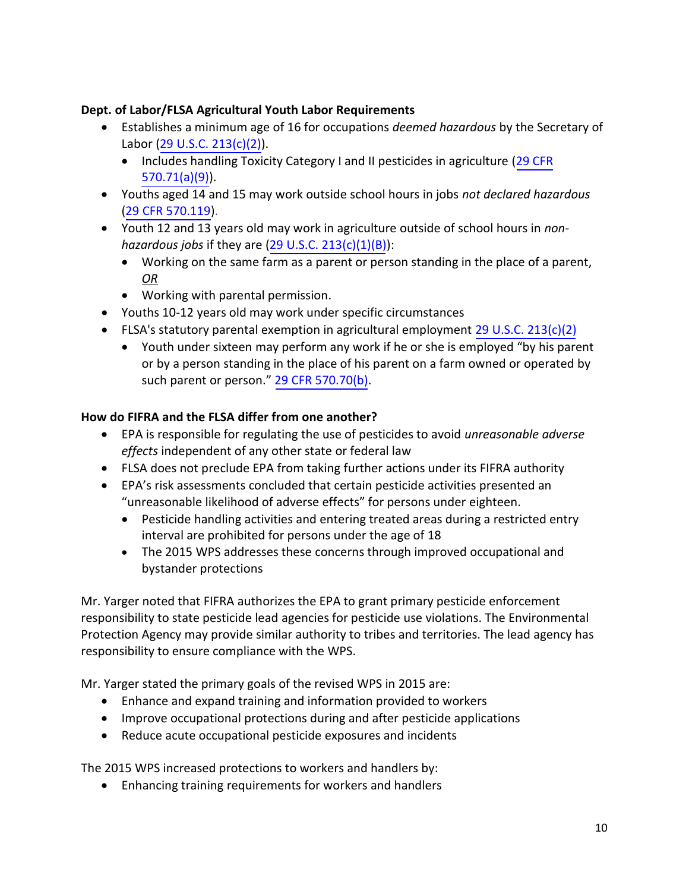#### **Dept. of Labor/FLSA Agricultural Youth Labor Requirements**

- Establishes a minimum age of 16 for occupations *deemed hazardous* by the Secretary of Labor ([29 U.S.C. 213\(c\)\(2\)](https://www.govinfo.gov/content/pkg/USCODE-2019-title29/html/USCODE-2019-title29-chap8-sec213.htm)).
	- Includes handling Toxicity Category I and II pesticides in agriculture ([29 CFR](https://www.ecfr.gov/cgi-bin/text-idx?node=pt29.3.570&rgn=div5) [570.71\(a\)\(9\)\)](https://www.ecfr.gov/cgi-bin/text-idx?node=pt29.3.570&rgn=div5).
- Youths aged 14 and 15 may work outside school hours in jobs *not declared hazardous*  ([29 CFR 570.119\)](https://www.ecfr.gov/cgi-bin/text-idx?node=pt29.3.570&rgn=div5).
- Youth 12 and 13 years old may work in agriculture outside of school hours in *nonhazardous jobs* if they are ([29 U.S.C. 213\(c\)\(1\)\(B\)](https://www.govinfo.gov/content/pkg/USCODE-2019-title29/html/USCODE-2019-title29-chap8-sec213.htm)):
	- Working on the same farm as a parent or person standing in the place of a parent, *OR*
	- Working with parental permission.
- Youths 10-12 years old may work under specific circumstances
- FLSA's statutory parental exemption in agricultural employment [29 U.S.C. 213\(c\)\(2\)](https://www.govinfo.gov/content/pkg/USCODE-2019-title29/html/USCODE-2019-title29-chap8-sec213.htm)
	- Youth under sixteen may perform any work if he or she is employed "by his parent or by a person standing in the place of his parent on a farm owned or operated by such parent or person." [29 CFR 570.70\(b\)](https://www.ecfr.gov/cgi-bin/text-idx?node=pt29.3.570&rgn=div5).

## **How do FIFRA and the FLSA differ from one another?**

- EPA is responsible for regulating the use of pesticides to avoid *unreasonable adverse effects* independent of any other state or federal law
- FLSA does not preclude EPA from taking further actions under its FIFRA authority
- EPA's risk assessments concluded that certain pesticide activities presented an "unreasonable likelihood of adverse effects" for persons under eighteen.
	- Pesticide handling activities and entering treated areas during a restricted entry interval are prohibited for persons under the age of 18
	- The 2015 WPS addresses these concerns through improved occupational and bystander protections

Mr. Yarger noted that FIFRA authorizes the EPA to grant primary pesticide enforcement responsibility to state pesticide lead agencies for pesticide use violations. The Environmental Protection Agency may provide similar authority to tribes and territories. The lead agency has responsibility to ensure compliance with the WPS.

Mr. Yarger stated the primary goals of the revised WPS in 2015 are:

- Enhance and expand training and information provided to workers
- Improve occupational protections during and after pesticide applications
- Reduce acute occupational pesticide exposures and incidents

The 2015 WPS increased protections to workers and handlers by:

• Enhancing training requirements for workers and handlers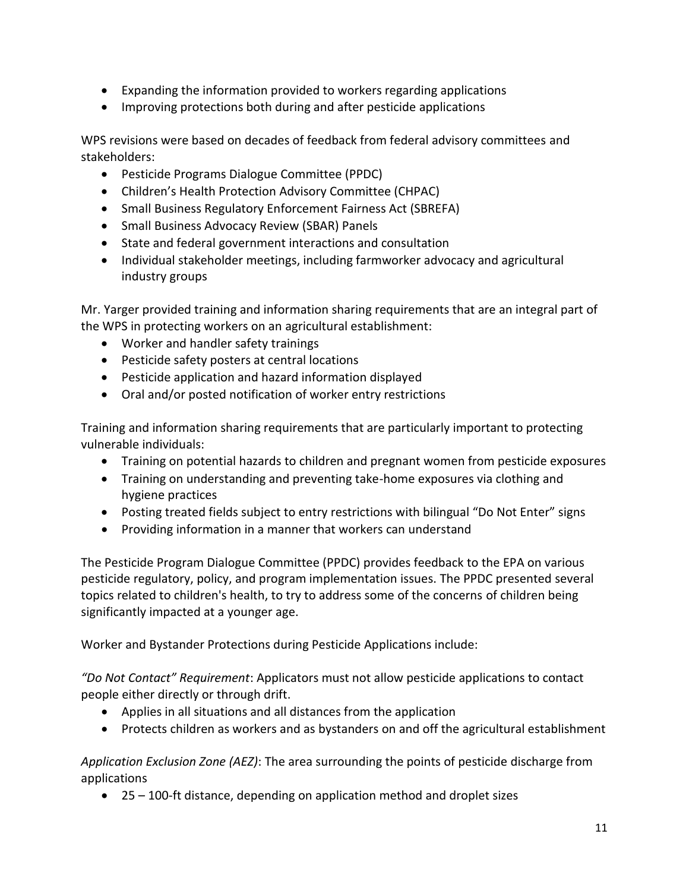- Expanding the information provided to workers regarding applications
- Improving protections both during and after pesticide applications

WPS revisions were based on decades of feedback from federal advisory committees and stakeholders:

- Pesticide Programs Dialogue Committee (PPDC)
- Children's Health Protection Advisory Committee (CHPAC)
- Small Business Regulatory Enforcement Fairness Act (SBREFA)
- Small Business Advocacy Review (SBAR) Panels
- State and federal government interactions and consultation
- Individual stakeholder meetings, including farmworker advocacy and agricultural industry groups

Mr. Yarger provided training and information sharing requirements that are an integral part of the WPS in protecting workers on an agricultural establishment:

- Worker and handler safety trainings
- Pesticide safety posters at central locations
- Pesticide application and hazard information displayed
- Oral and/or posted notification of worker entry restrictions

Training and information sharing requirements that are particularly important to protecting vulnerable individuals:

- Training on potential hazards to children and pregnant women from pesticide exposures
- Training on understanding and preventing take-home exposures via clothing and hygiene practices
- Posting treated fields subject to entry restrictions with bilingual "Do Not Enter" signs
- Providing information in a manner that workers can understand

The Pesticide Program Dialogue Committee (PPDC) provides feedback to the EPA on various pesticide regulatory, policy, and program implementation issues. The PPDC presented several topics related to children's health, to try to address some of the concerns of children being significantly impacted at a younger age.

Worker and Bystander Protections during Pesticide Applications include:

*"Do Not Contact" Requirement*: Applicators must not allow pesticide applications to contact people either directly or through drift.

- Applies in all situations and all distances from the application
- Protects children as workers and as bystanders on and off the agricultural establishment

*Application Exclusion Zone (AEZ)*: The area surrounding the points of pesticide discharge from applications

• 25 – 100-ft distance, depending on application method and droplet sizes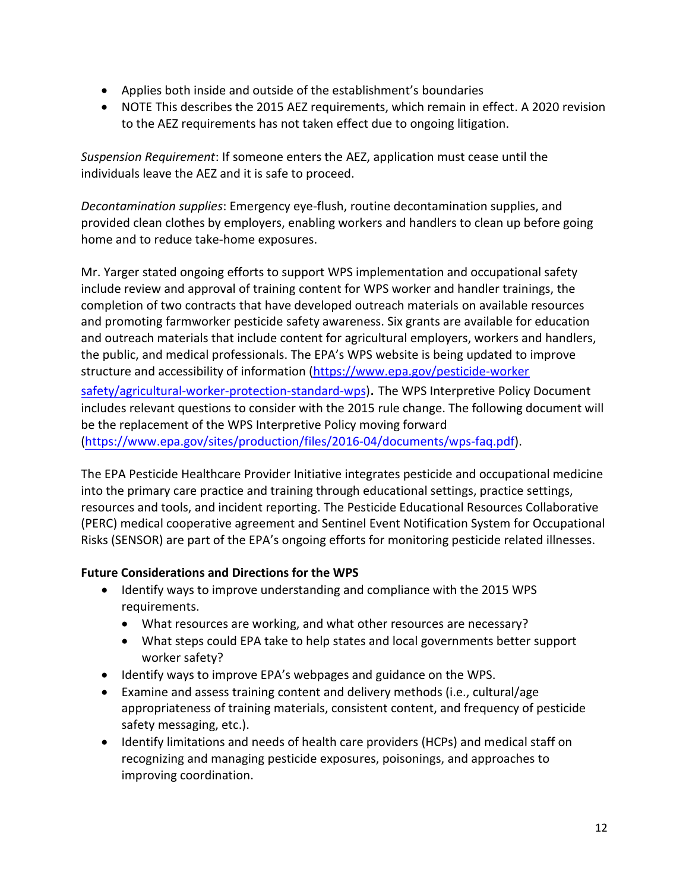- Applies both inside and outside of the establishment's boundaries
- NOTE This describes the 2015 AEZ requirements, which remain in effect. A 2020 revision to the AEZ requirements has not taken effect due to ongoing litigation.

*Suspension Requirement*: If someone enters the AEZ, application must cease until the individuals leave the AEZ and it is safe to proceed.

*Decontamination supplies*: Emergency eye-flush, routine decontamination supplies, and provided clean clothes by employers, enabling workers and handlers to clean up before going home and to reduce take-home exposures.

Mr. Yarger stated ongoing efforts to support WPS implementation and occupational safety include review and approval of training content for WPS worker and handler trainings, the completion of two contracts that have developed outreach materials on available resources and promoting farmworker pesticide safety awareness. Six grants are available for education and outreach materials that include content for agricultural employers, workers and handlers, the public, and medical professionals. The EPA's WPS website is being updated to improve structure and accessibility of information [\(https://www.epa.gov/pesticide-worker](https://www.epa.gov/pesticide-worker-safety/agricultural-worker-protection-standard-wps)  [safety/agricultural-worker-protection-standard-wps](https://www.epa.gov/pesticide-worker-safety/agricultural-worker-protection-standard-wps)). The WPS Interpretive Policy Document includes relevant questions to consider with the 2015 rule change. The following document will be the replacement of the WPS Interpretive Policy moving forward

[\(https://www.epa.gov/sites/production/files/2016-04/documents/wps-faq.pdf\)](https://www.epa.gov/sites/production/files/2016-04/documents/wps-faq.pdf).

The EPA Pesticide Healthcare Provider Initiative integrates pesticide and occupational medicine into the primary care practice and training through educational settings, practice settings, resources and tools, and incident reporting. The Pesticide Educational Resources Collaborative (PERC) medical cooperative agreement and Sentinel Event Notification System for Occupational Risks (SENSOR) are part of the EPA's ongoing efforts for monitoring pesticide related illnesses.

## **Future Considerations and Directions for the WPS**

- Identify ways to improve understanding and compliance with the 2015 WPS requirements.
	- What resources are working, and what other resources are necessary?
	- What steps could EPA take to help states and local governments better support worker safety?
- Identify ways to improve EPA's webpages and guidance on the WPS.
- Examine and assess training content and delivery methods (i.e., cultural/age appropriateness of training materials, consistent content, and frequency of pesticide safety messaging, etc.).
- Identify limitations and needs of health care providers (HCPs) and medical staff on recognizing and managing pesticide exposures, poisonings, and approaches to improving coordination.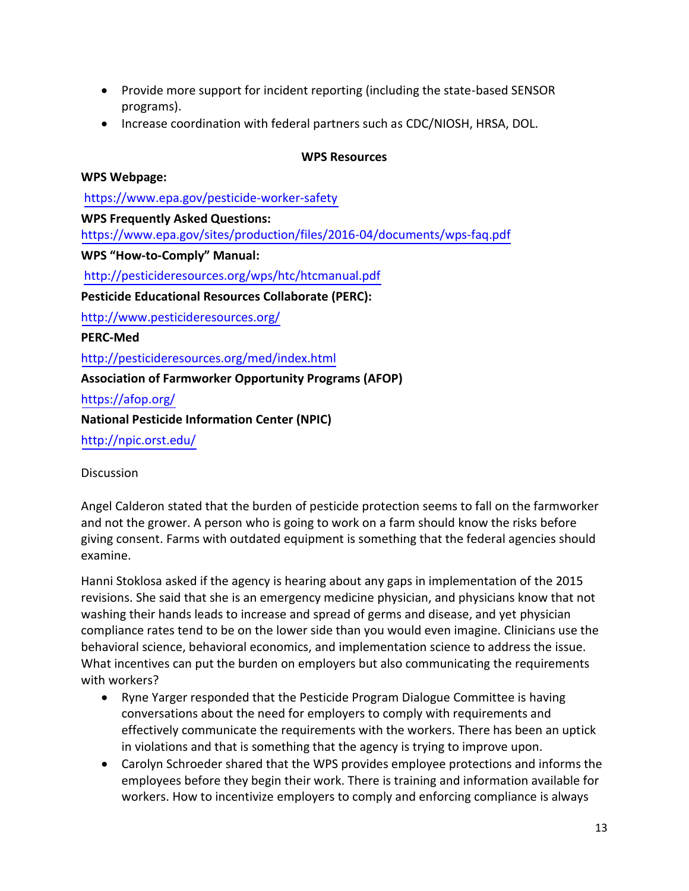- Provide more support for incident reporting (including the state-based SENSOR programs).
- Increase coordination with federal partners such as CDC/NIOSH, HRSA, DOL.

#### **WPS Resources**

#### **WPS Webpage:**

<https://www.epa.gov/pesticide-worker-safety> **WPS Frequently Asked Questions:**

<https://www.epa.gov/sites/production/files/2016-04/documents/wps-faq.pdf>

**WPS "How-to-Comply" Manual:** 

<http://pesticideresources.org/wps/htc/htcmanual.pdf>

**Pesticide Educational Resources Collaborate (PERC):** 

<http://www.pesticideresources.org/>

**PERC-Med**

<http://pesticideresources.org/med/index.html>

## **Association of Farmworker Opportunity Programs (AFOP)**

<https://afop.org/>

**National Pesticide Information Center (NPIC)**

<http://npic.orst.edu/>

**Discussion** 

Angel Calderon stated that the burden of pesticide protection seems to fall on the farmworker and not the grower. A person who is going to work on a farm should know the risks before giving consent. Farms with outdated equipment is something that the federal agencies should examine.

Hanni Stoklosa asked if the agency is hearing about any gaps in implementation of the 2015 revisions. She said that she is an emergency medicine physician, and physicians know that not washing their hands leads to increase and spread of germs and disease, and yet physician compliance rates tend to be on the lower side than you would even imagine. Clinicians use the behavioral science, behavioral economics, and implementation science to address the issue. What incentives can put the burden on employers but also communicating the requirements with workers?

- Ryne Yarger responded that the Pesticide Program Dialogue Committee is having conversations about the need for employers to comply with requirements and effectively communicate the requirements with the workers. There has been an uptick in violations and that is something that the agency is trying to improve upon.
- Carolyn Schroeder shared that the WPS provides employee protections and informs the employees before they begin their work. There is training and information available for workers. How to incentivize employers to comply and enforcing compliance is always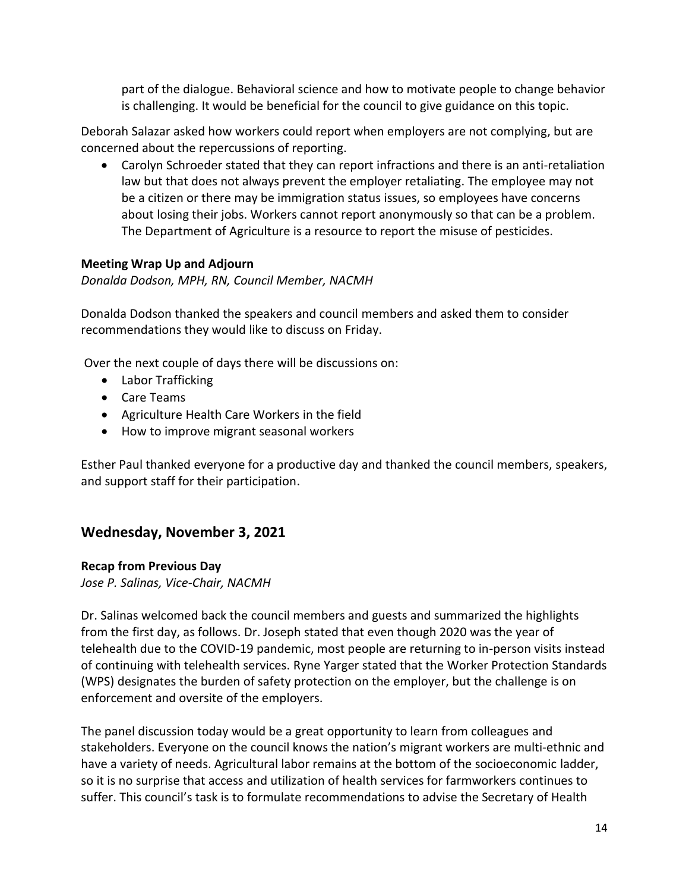part of the dialogue. Behavioral science and how to motivate people to change behavior is challenging. It would be beneficial for the council to give guidance on this topic.

Deborah Salazar asked how workers could report when employers are not complying, but are concerned about the repercussions of reporting.

• Carolyn Schroeder stated that they can report infractions and there is an anti-retaliation law but that does not always prevent the employer retaliating. The employee may not be a citizen or there may be immigration status issues, so employees have concerns about losing their jobs. Workers cannot report anonymously so that can be a problem. The Department of Agriculture is a resource to report the misuse of pesticides.

#### **Meeting Wrap Up and Adjourn**

*Donalda Dodson, MPH, RN, Council Member, NACMH* 

Donalda Dodson thanked the speakers and council members and asked them to consider recommendations they would like to discuss on Friday.

Over the next couple of days there will be discussions on:

- Labor Trafficking
- Care Teams
- Agriculture Health Care Workers in the field
- How to improve migrant seasonal workers

Esther Paul thanked everyone for a productive day and thanked the council members, speakers, and support staff for their participation.

## **Wednesday, November 3, 2021**

#### **Recap from Previous Day**

*Jose P. Salinas, Vice-Chair, NACMH* 

Dr. Salinas welcomed back the council members and guests and summarized the highlights from the first day, as follows. Dr. Joseph stated that even though 2020 was the year of telehealth due to the COVID-19 pandemic, most people are returning to in-person visits instead of continuing with telehealth services. Ryne Yarger stated that the Worker Protection Standards (WPS) designates the burden of safety protection on the employer, but the challenge is on enforcement and oversite of the employers.

The panel discussion today would be a great opportunity to learn from colleagues and stakeholders. Everyone on the council knows the nation's migrant workers are multi-ethnic and have a variety of needs. Agricultural labor remains at the bottom of the socioeconomic ladder, so it is no surprise that access and utilization of health services for farmworkers continues to suffer. This council's task is to formulate recommendations to advise the Secretary of Health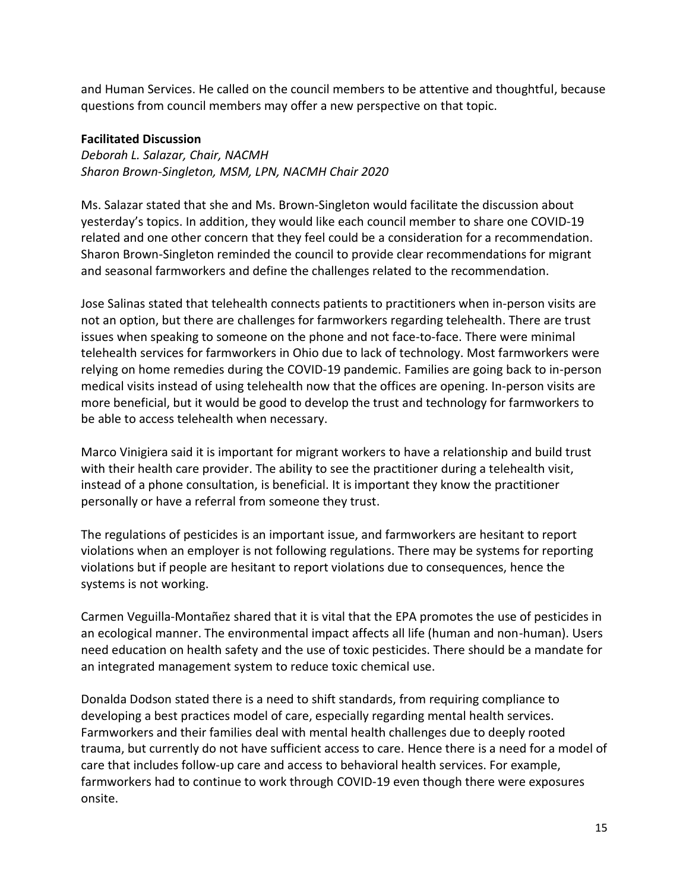and Human Services. He called on the council members to be attentive and thoughtful, because questions from council members may offer a new perspective on that topic.

#### **Facilitated Discussion**

*Deborah L. Salazar, Chair, NACMH Sharon Brown-Singleton, MSM, LPN, NACMH Chair 2020* 

Ms. Salazar stated that she and Ms. Brown-Singleton would facilitate the discussion about yesterday's topics. In addition, they would like each council member to share one COVID-19 related and one other concern that they feel could be a consideration for a recommendation. Sharon Brown-Singleton reminded the council to provide clear recommendations for migrant and seasonal farmworkers and define the challenges related to the recommendation.

Jose Salinas stated that telehealth connects patients to practitioners when in-person visits are not an option, but there are challenges for farmworkers regarding telehealth. There are trust issues when speaking to someone on the phone and not face-to-face. There were minimal telehealth services for farmworkers in Ohio due to lack of technology. Most farmworkers were relying on home remedies during the COVID-19 pandemic. Families are going back to in-person medical visits instead of using telehealth now that the offices are opening. In-person visits are more beneficial, but it would be good to develop the trust and technology for farmworkers to be able to access telehealth when necessary.

Marco Vinigiera said it is important for migrant workers to have a relationship and build trust with their health care provider. The ability to see the practitioner during a telehealth visit, instead of a phone consultation, is beneficial. It is important they know the practitioner personally or have a referral from someone they trust.

The regulations of pesticides is an important issue, and farmworkers are hesitant to report violations when an employer is not following regulations. There may be systems for reporting violations but if people are hesitant to report violations due to consequences, hence the systems is not working.

Carmen Veguilla-Montañez shared that it is vital that the EPA promotes the use of pesticides in an ecological manner. The environmental impact affects all life (human and non-human). Users need education on health safety and the use of toxic pesticides. There should be a mandate for an integrated management system to reduce toxic chemical use.

Donalda Dodson stated there is a need to shift standards, from requiring compliance to developing a best practices model of care, especially regarding mental health services. Farmworkers and their families deal with mental health challenges due to deeply rooted trauma, but currently do not have sufficient access to care. Hence there is a need for a model of care that includes follow-up care and access to behavioral health services. For example, farmworkers had to continue to work through COVID-19 even though there were exposures onsite.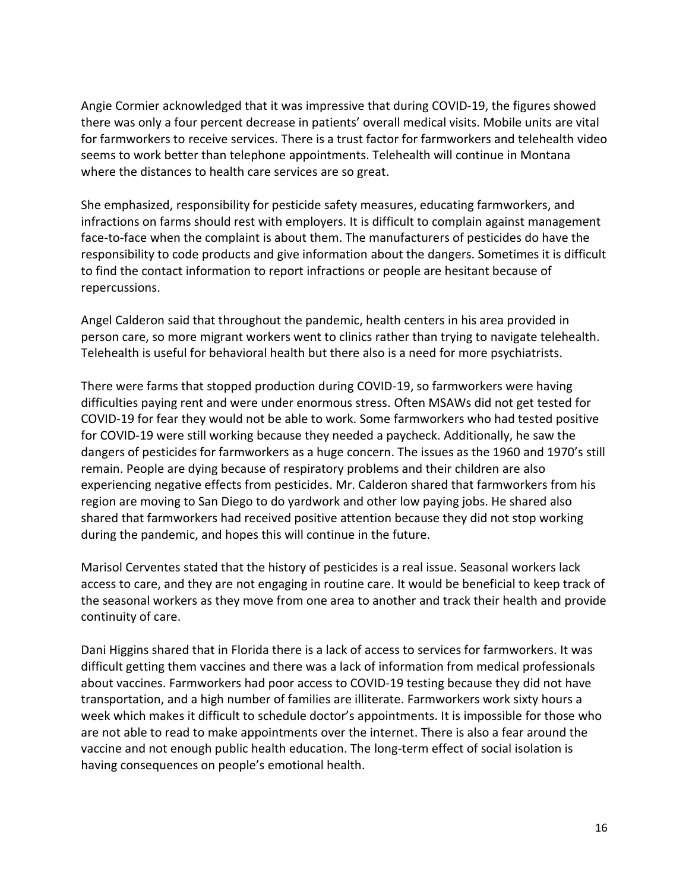Angie Cormier acknowledged that it was impressive that during COVID-19, the figures showed there was only a four percent decrease in patients' overall medical visits. Mobile units are vital for farmworkers to receive services. There is a trust factor for farmworkers and telehealth video seems to work better than telephone appointments. Telehealth will continue in Montana where the distances to health care services are so great.

She emphasized, responsibility for pesticide safety measures, educating farmworkers, and infractions on farms should rest with employers. It is difficult to complain against management face-to-face when the complaint is about them. The manufacturers of pesticides do have the responsibility to code products and give information about the dangers. Sometimes it is difficult to find the contact information to report infractions or people are hesitant because of repercussions.

Angel Calderon said that throughout the pandemic, health centers in his area provided in person care, so more migrant workers went to clinics rather than trying to navigate telehealth. Telehealth is useful for behavioral health but there also is a need for more psychiatrists.

There were farms that stopped production during COVID-19, so farmworkers were having difficulties paying rent and were under enormous stress. Often MSAWs did not get tested for COVID-19 for fear they would not be able to work. Some farmworkers who had tested positive for COVID-19 were still working because they needed a paycheck. Additionally, he saw the dangers of pesticides for farmworkers as a huge concern. The issues as the 1960 and 1970's still remain. People are dying because of respiratory problems and their children are also experiencing negative effects from pesticides. Mr. Calderon shared that farmworkers from his region are moving to San Diego to do yardwork and other low paying jobs. He shared also shared that farmworkers had received positive attention because they did not stop working during the pandemic, and hopes this will continue in the future.

Marisol Cerventes stated that the history of pesticides is a real issue. Seasonal workers lack access to care, and they are not engaging in routine care. It would be beneficial to keep track of the seasonal workers as they move from one area to another and track their health and provide continuity of care.

Dani Higgins shared that in Florida there is a lack of access to services for farmworkers. It was difficult getting them vaccines and there was a lack of information from medical professionals about vaccines. Farmworkers had poor access to COVID-19 testing because they did not have transportation, and a high number of families are illiterate. Farmworkers work sixty hours a week which makes it difficult to schedule doctor's appointments. It is impossible for those who are not able to read to make appointments over the internet. There is also a fear around the vaccine and not enough public health education. The long-term effect of social isolation is having consequences on people's emotional health.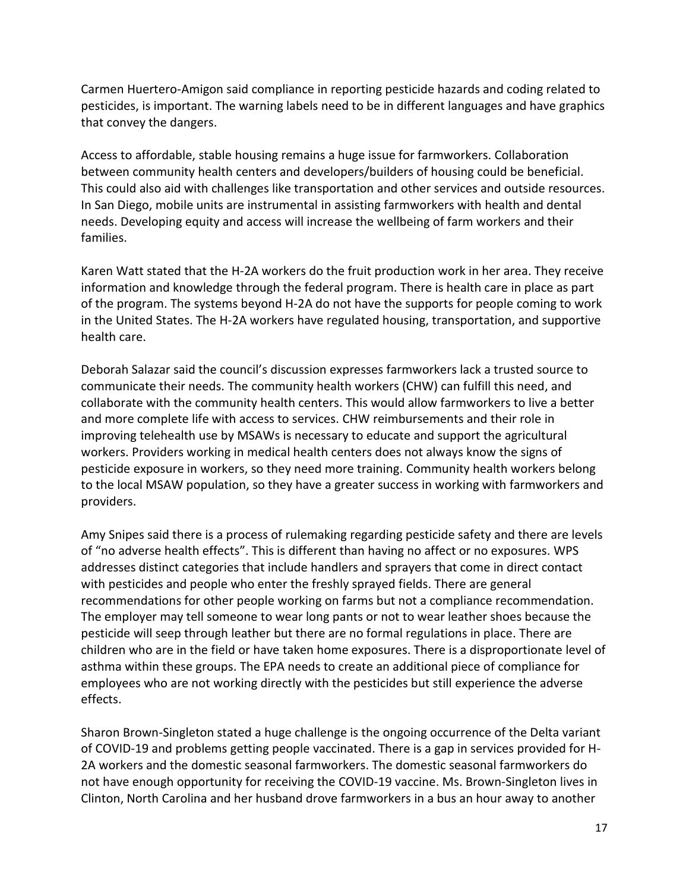Carmen Huertero-Amigon said compliance in reporting pesticide hazards and coding related to pesticides, is important. The warning labels need to be in different languages and have graphics that convey the dangers.

Access to affordable, stable housing remains a huge issue for farmworkers. Collaboration between community health centers and developers/builders of housing could be beneficial. This could also aid with challenges like transportation and other services and outside resources. In San Diego, mobile units are instrumental in assisting farmworkers with health and dental needs. Developing equity and access will increase the wellbeing of farm workers and their families.

Karen Watt stated that the H-2A workers do the fruit production work in her area. They receive information and knowledge through the federal program. There is health care in place as part of the program. The systems beyond H-2A do not have the supports for people coming to work in the United States. The H-2A workers have regulated housing, transportation, and supportive health care.

Deborah Salazar said the council's discussion expresses farmworkers lack a trusted source to communicate their needs. The community health workers (CHW) can fulfill this need, and collaborate with the community health centers. This would allow farmworkers to live a better and more complete life with access to services. CHW reimbursements and their role in improving telehealth use by MSAWs is necessary to educate and support the agricultural workers. Providers working in medical health centers does not always know the signs of pesticide exposure in workers, so they need more training. Community health workers belong to the local MSAW population, so they have a greater success in working with farmworkers and providers.

Amy Snipes said there is a process of rulemaking regarding pesticide safety and there are levels of "no adverse health effects". This is different than having no affect or no exposures. WPS addresses distinct categories that include handlers and sprayers that come in direct contact with pesticides and people who enter the freshly sprayed fields. There are general recommendations for other people working on farms but not a compliance recommendation. The employer may tell someone to wear long pants or not to wear leather shoes because the pesticide will seep through leather but there are no formal regulations in place. There are children who are in the field or have taken home exposures. There is a disproportionate level of asthma within these groups. The EPA needs to create an additional piece of compliance for employees who are not working directly with the pesticides but still experience the adverse effects.

Sharon Brown-Singleton stated a huge challenge is the ongoing occurrence of the Delta variant of COVID-19 and problems getting people vaccinated. There is a gap in services provided for H-2A workers and the domestic seasonal farmworkers. The domestic seasonal farmworkers do not have enough opportunity for receiving the COVID-19 vaccine. Ms. Brown-Singleton lives in Clinton, North Carolina and her husband drove farmworkers in a bus an hour away to another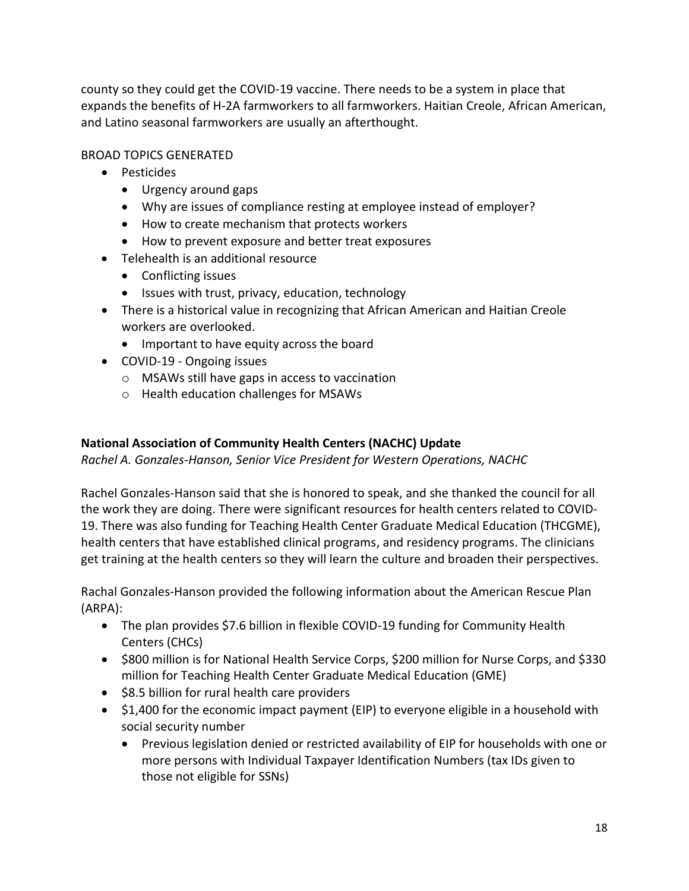county so they could get the COVID-19 vaccine. There needs to be a system in place that expands the benefits of H-2A farmworkers to all farmworkers. Haitian Creole, African American, and Latino seasonal farmworkers are usually an afterthought.

#### BROAD TOPICS GENERATED

- Pesticides
	- Urgency around gaps
	- Why are issues of compliance resting at employee instead of employer?
	- How to create mechanism that protects workers
	- How to prevent exposure and better treat exposures
- Telehealth is an additional resource
	- Conflicting issues
	- Issues with trust, privacy, education, technology
- There is a historical value in recognizing that African American and Haitian Creole workers are overlooked.
	- Important to have equity across the board
- COVID-19 Ongoing issues
	- o MSAWs still have gaps in access to vaccination
	- o Health education challenges for MSAWs

#### **National Association of Community Health Centers (NACHC) Update**

*Rachel A. Gonzales-Hanson, Senior Vice President for Western Operations, NACHC* 

Rachel Gonzales-Hanson said that she is honored to speak, and she thanked the council for all the work they are doing. There were significant resources for health centers related to COVID-19. There was also funding for Teaching Health Center Graduate Medical Education (THCGME), health centers that have established clinical programs, and residency programs. The clinicians get training at the health centers so they will learn the culture and broaden their perspectives.

Rachal Gonzales-Hanson provided the following information about the American Rescue Plan (ARPA):

- The plan provides \$7.6 billion in flexible COVID-19 funding for Community Health Centers (CHCs)
- \$800 million is for National Health Service Corps, \$200 million for Nurse Corps, and \$330 million for Teaching Health Center Graduate Medical Education (GME)
- \$8.5 billion for rural health care providers
- \$1,400 for the economic impact payment (EIP) to everyone eligible in a household with social security number
	- Previous legislation denied or restricted availability of EIP for households with one or more persons with Individual Taxpayer Identification Numbers (tax IDs given to those not eligible for SSNs)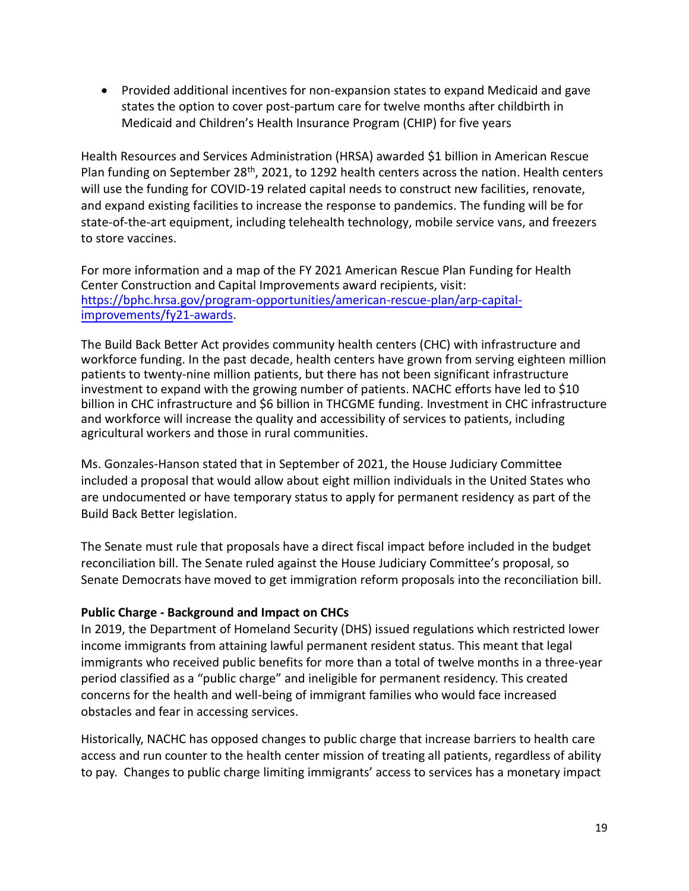• Provided additional incentives for non-expansion states to expand Medicaid and gave states the option to cover post-partum care for twelve months after childbirth in Medicaid and Children's Health Insurance Program (CHIP) for five years

Health Resources and Services Administration (HRSA) awarded \$1 billion in American Rescue Plan funding on September 28<sup>th</sup>, 2021, to 1292 health centers across the nation. Health centers will use the funding for COVID-19 related capital needs to construct new facilities, renovate, and expand existing facilities to increase the response to pandemics. The funding will be for state-of-the-art equipment, including telehealth technology, mobile service vans, and freezers to store vaccines.

For more information and a map of the FY 2021 American Rescue Plan Funding for Health Center Construction and Capital Improvements award recipients, visit: [https://bphc.hrsa.gov/program-opportunities/american-rescue-plan/arp-capital](https://bphc.hrsa.gov/program-opportunities/american-rescue-plan/arp-capital-improvements/fy21-awards)[improvements/fy21-awards](https://bphc.hrsa.gov/program-opportunities/american-rescue-plan/arp-capital-improvements/fy21-awards).

The Build Back Better Act provides community health centers (CHC) with infrastructure and workforce funding. In the past decade, health centers have grown from serving eighteen million patients to twenty-nine million patients, but there has not been significant infrastructure investment to expand with the growing number of patients. NACHC efforts have led to \$10 billion in CHC infrastructure and \$6 billion in THCGME funding. Investment in CHC infrastructure and workforce will increase the quality and accessibility of services to patients, including agricultural workers and those in rural communities.

Ms. Gonzales-Hanson stated that in September of 2021, the House Judiciary Committee included a proposal that would allow about eight million individuals in the United States who are undocumented or have temporary status to apply for permanent residency as part of the Build Back Better legislation.

The Senate must rule that proposals have a direct fiscal impact before included in the budget reconciliation bill. The Senate ruled against the House Judiciary Committee's proposal, so Senate Democrats have moved to get immigration reform proposals into the reconciliation bill.

#### **Public Charge - Background and Impact on CHCs**

In 2019, the Department of Homeland Security (DHS) issued regulations which restricted lower income immigrants from attaining lawful permanent resident status. This meant that legal immigrants who received public benefits for more than a total of twelve months in a three-year period classified as a "public charge" and ineligible for permanent residency. This created concerns for the health and well-being of immigrant families who would face increased obstacles and fear in accessing services.

Historically, NACHC has opposed changes to public charge that increase barriers to health care access and run counter to the health center mission of treating all patients, regardless of ability to pay. Changes to public charge limiting immigrants' access to services has a monetary impact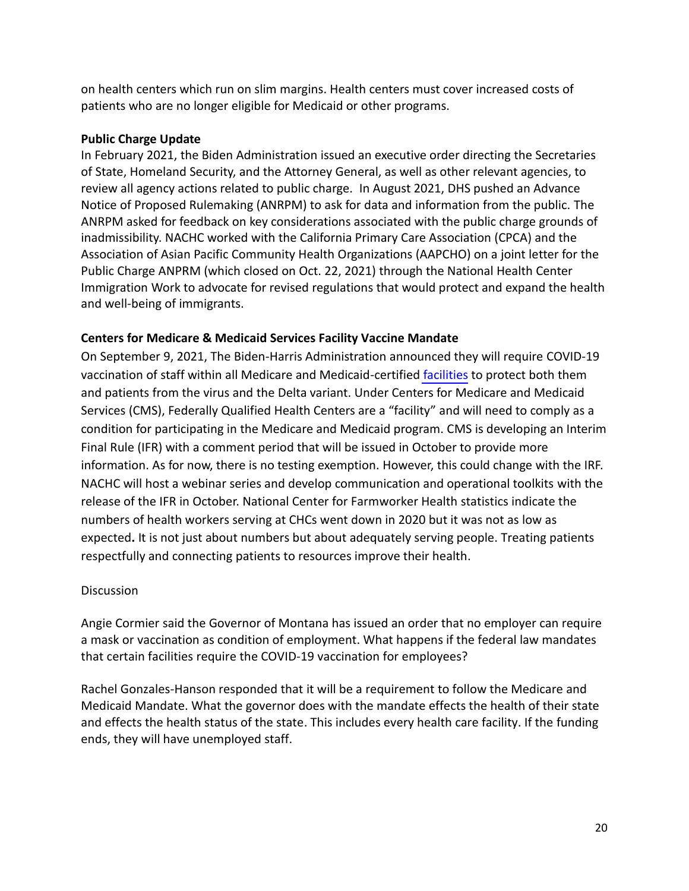on health centers which run on slim margins. Health centers must cover increased costs of patients who are no longer eligible for Medicaid or other programs.

#### **Public Charge Update**

In February 2021, the Biden Administration issued an executive order directing the Secretaries of State, Homeland Security, and the Attorney General, as well as other relevant agencies, to review all agency actions related to public charge.In August 2021, DHS pushed an Advance Notice of Proposed Rulemaking (ANRPM) to ask for data and information from the public. The ANRPM asked for feedback on key considerations associated with the public charge grounds of inadmissibility. NACHC worked with the California Primary Care Association (CPCA) and the Association of Asian Pacific Community Health Organizations (AAPCHO) on a joint letter for the Public Charge ANPRM (which closed on Oct. 22, 2021) through the National Health Center Immigration Work to advocate for revised regulations that would protect and expand the health and well-being of immigrants.

#### **Centers for Medicare & Medicaid Services Facility Vaccine Mandate**

On September 9, 2021, The Biden-Harris Administration announced they will require COVID-19 vaccination of staff within all Medicare and Medicaid-certified [facilities](https://protect-us.mimecast.com/s/jhd0C4xq3RCZ3MGIBPeRJ) to protect both them and patients from the virus and the Delta variant. Under Centers for Medicare and Medicaid Services (CMS), Federally Qualified Health Centers are a "facility" and will need to comply as a condition for participating in the Medicare and Medicaid program. CMS is developing an Interim Final Rule (IFR) with a comment period that will be issued in October to provide more information. As for now, there is no testing exemption. However, this could change with the IRF. NACHC will host a webinar series and develop communication and operational toolkits with the release of the IFR in October. National Center for Farmworker Health statistics indicate the numbers of health workers serving at CHCs went down in 2020 but it was not as low as expected**.** It is not just about numbers but about adequately serving people. Treating patients respectfully and connecting patients to resources improve their health.

#### **Discussion**

Angie Cormier said the Governor of Montana has issued an order that no employer can require a mask or vaccination as condition of employment. What happens if the federal law mandates that certain facilities require the COVID-19 vaccination for employees?

Rachel Gonzales-Hanson responded that it will be a requirement to follow the Medicare and Medicaid Mandate. What the governor does with the mandate effects the health of their state and effects the health status of the state. This includes every health care facility. If the funding ends, they will have unemployed staff.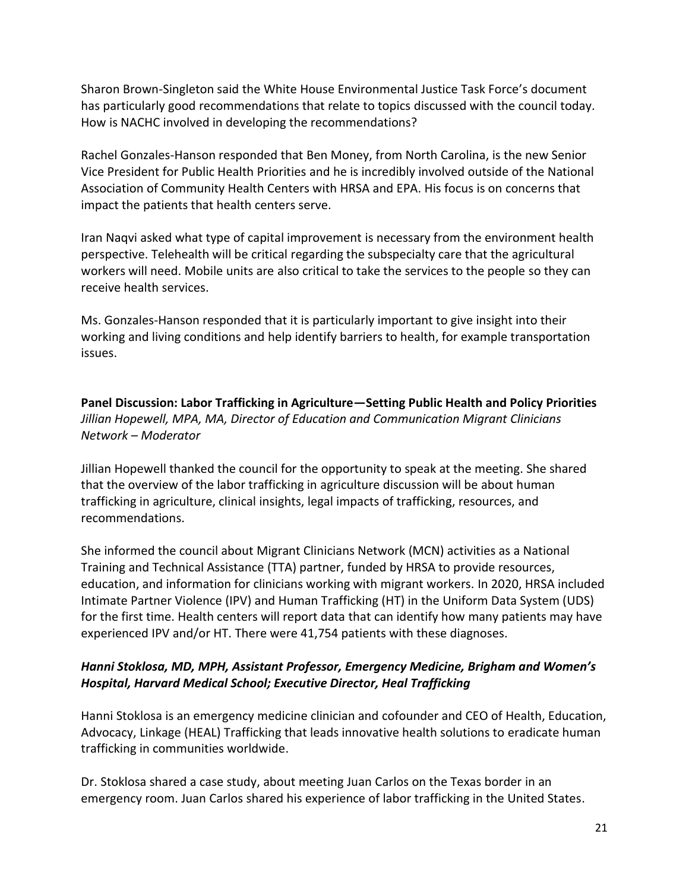Sharon Brown-Singleton said the White House Environmental Justice Task Force's document has particularly good recommendations that relate to topics discussed with the council today. How is NACHC involved in developing the recommendations?

Rachel Gonzales-Hanson responded that Ben Money, from North Carolina, is the new Senior Vice President for Public Health Priorities and he is incredibly involved outside of the National Association of Community Health Centers with HRSA and EPA. His focus is on concerns that impact the patients that health centers serve.

Iran Naqvi asked what type of capital improvement is necessary from the environment health perspective. Telehealth will be critical regarding the subspecialty care that the agricultural workers will need. Mobile units are also critical to take the services to the people so they can receive health services.

Ms. Gonzales-Hanson responded that it is particularly important to give insight into their working and living conditions and help identify barriers to health, for example transportation issues.

**Panel Discussion: Labor Trafficking in Agriculture—Setting Public Health and Policy Priorities**  *Jillian Hopewell, MPA, MA, Director of Education and Communication Migrant Clinicians Network – Moderator* 

Jillian Hopewell thanked the council for the opportunity to speak at the meeting. She shared that the overview of the labor trafficking in agriculture discussion will be about human trafficking in agriculture, clinical insights, legal impacts of trafficking, resources, and recommendations.

She informed the council about Migrant Clinicians Network (MCN) activities as a National Training and Technical Assistance (TTA) partner, funded by HRSA to provide resources, education, and information for clinicians working with migrant workers. In 2020, HRSA included Intimate Partner Violence (IPV) and Human Trafficking (HT) in the Uniform Data System (UDS) for the first time. Health centers will report data that can identify how many patients may have experienced IPV and/or HT. There were 41,754 patients with these diagnoses.

## *Hanni Stoklosa, MD, MPH, Assistant Professor, Emergency Medicine, Brigham and Women's Hospital, Harvard Medical School; Executive Director, Heal Trafficking*

Hanni Stoklosa is an emergency medicine clinician and cofounder and CEO of Health, Education, Advocacy, Linkage (HEAL) Trafficking that leads innovative health solutions to eradicate human trafficking in communities worldwide.

Dr. Stoklosa shared a case study, about meeting Juan Carlos on the Texas border in an emergency room. Juan Carlos shared his experience of labor trafficking in the United States.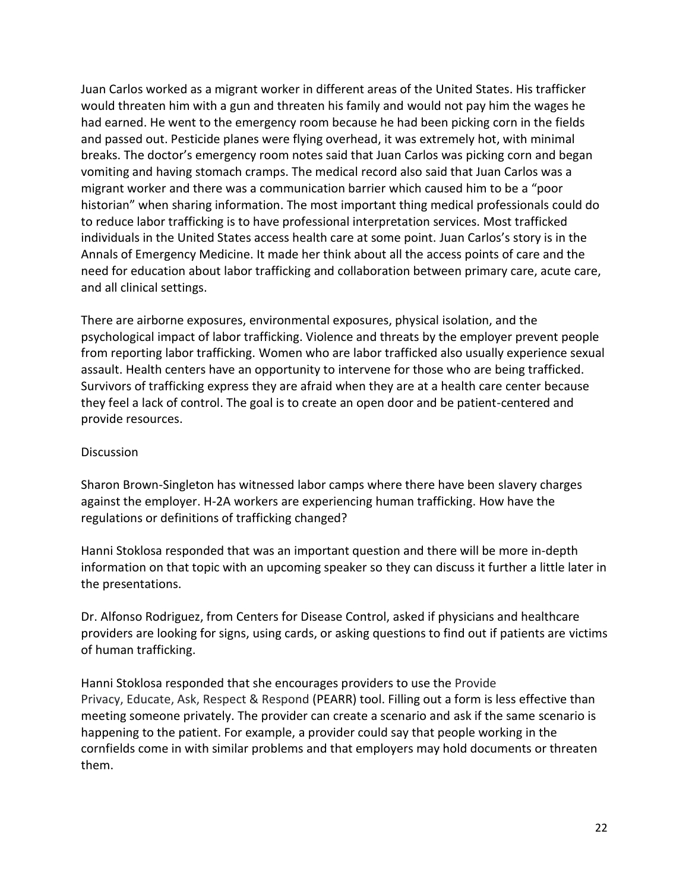Juan Carlos worked as a migrant worker in different areas of the United States. His trafficker would threaten him with a gun and threaten his family and would not pay him the wages he had earned. He went to the emergency room because he had been picking corn in the fields and passed out. Pesticide planes were flying overhead, it was extremely hot, with minimal breaks. The doctor's emergency room notes said that Juan Carlos was picking corn and began vomiting and having stomach cramps. The medical record also said that Juan Carlos was a migrant worker and there was a communication barrier which caused him to be a "poor historian" when sharing information. The most important thing medical professionals could do to reduce labor trafficking is to have professional interpretation services. Most trafficked individuals in the United States access health care at some point. Juan Carlos's story is in the Annals of Emergency Medicine. It made her think about all the access points of care and the need for education about labor trafficking and collaboration between primary care, acute care, and all clinical settings.

There are airborne exposures, environmental exposures, physical isolation, and the psychological impact of labor trafficking. Violence and threats by the employer prevent people from reporting labor trafficking. Women who are labor trafficked also usually experience sexual assault. Health centers have an opportunity to intervene for those who are being trafficked. Survivors of trafficking express they are afraid when they are at a health care center because they feel a lack of control. The goal is to create an open door and be patient-centered and provide resources.

#### **Discussion**

Sharon Brown-Singleton has witnessed labor camps where there have been slavery charges against the employer. H-2A workers are experiencing human trafficking. How have the regulations or definitions of trafficking changed?

Hanni Stoklosa responded that was an important question and there will be more in-depth information on that topic with an upcoming speaker so they can discuss it further a little later in the presentations.

Dr. Alfonso Rodriguez, from Centers for Disease Control, asked if physicians and healthcare providers are looking for signs, using cards, or asking questions to find out if patients are victims of human trafficking.

Hanni Stoklosa responded that she encourages providers to use the Provide Privacy, Educate, Ask, Respect & Respond (PEARR) tool. Filling out a form is less effective than meeting someone privately. The provider can create a scenario and ask if the same scenario is happening to the patient. For example, a provider could say that people working in the cornfields come in with similar problems and that employers may hold documents or threaten them.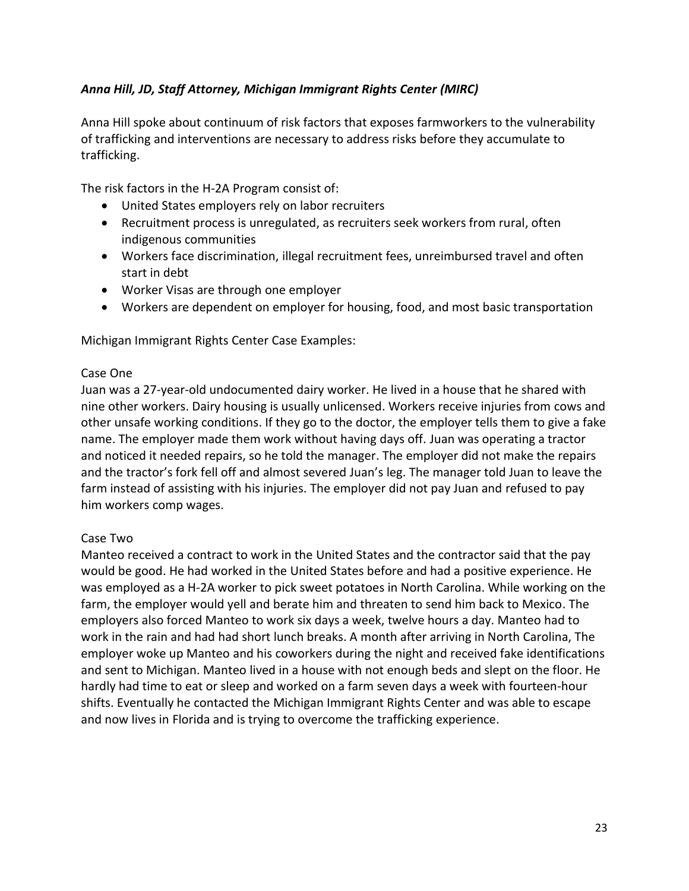## *Anna Hill, JD, Staff Attorney, Michigan Immigrant Rights Center (MIRC)*

Anna Hill spoke about continuum of risk factors that exposes farmworkers to the vulnerability of trafficking and interventions are necessary to address risks before they accumulate to trafficking.

The risk factors in the H-2A Program consist of:

- United States employers rely on labor recruiters
- Recruitment process is unregulated, as recruiters seek workers from rural, often indigenous communities
- Workers face discrimination, illegal recruitment fees, unreimbursed travel and often start in debt
- Worker Visas are through one employer
- Workers are dependent on employer for housing, food, and most basic transportation

Michigan Immigrant Rights Center Case Examples:

#### Case One

Juan was a 27-year-old undocumented dairy worker. He lived in a house that he shared with nine other workers. Dairy housing is usually unlicensed. Workers receive injuries from cows and other unsafe working conditions. If they go to the doctor, the employer tells them to give a fake name. The employer made them work without having days off. Juan was operating a tractor and noticed it needed repairs, so he told the manager. The employer did not make the repairs and the tractor's fork fell off and almost severed Juan's leg. The manager told Juan to leave the farm instead of assisting with his injuries. The employer did not pay Juan and refused to pay him workers comp wages.

#### Case Two

Manteo received a contract to work in the United States and the contractor said that the pay would be good. He had worked in the United States before and had a positive experience. He was employed as a H-2A worker to pick sweet potatoes in North Carolina. While working on the farm, the employer would yell and berate him and threaten to send him back to Mexico. The employers also forced Manteo to work six days a week, twelve hours a day. Manteo had to work in the rain and had had short lunch breaks. A month after arriving in North Carolina, The employer woke up Manteo and his coworkers during the night and received fake identifications and sent to Michigan. Manteo lived in a house with not enough beds and slept on the floor. He hardly had time to eat or sleep and worked on a farm seven days a week with fourteen-hour shifts. Eventually he contacted the Michigan Immigrant Rights Center and was able to escape and now lives in Florida and is trying to overcome the trafficking experience.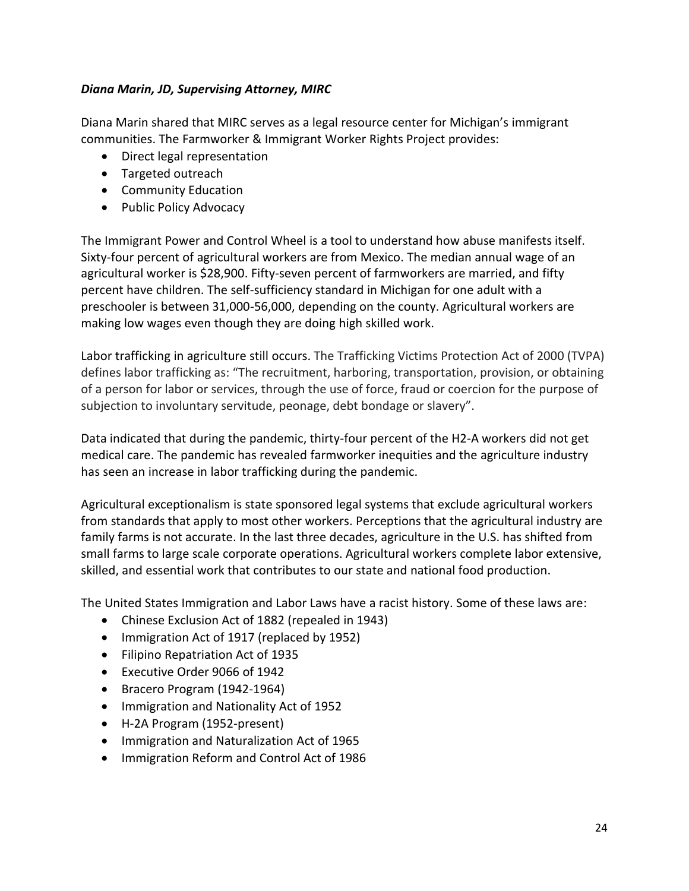#### *Diana Marin, JD, Supervising Attorney, MIRC*

Diana Marin shared that MIRC serves as a legal resource center for Michigan's immigrant communities. The Farmworker & Immigrant Worker Rights Project provides:

- Direct legal representation
- Targeted outreach
- Community Education
- Public Policy Advocacy

The Immigrant Power and Control Wheel is a tool to understand how abuse manifests itself. Sixty-four percent of agricultural workers are from Mexico. The median annual wage of an agricultural worker is \$28,900. Fifty-seven percent of farmworkers are married, and fifty percent have children. The self-sufficiency standard in Michigan for one adult with a preschooler is between 31,000-56,000, depending on the county. Agricultural workers are making low wages even though they are doing high skilled work.

Labor trafficking in agriculture still occurs. The Trafficking Victims Protection Act of 2000 (TVPA) defines labor trafficking as: "The recruitment, harboring, transportation, provision, or obtaining of a person for labor or services, through the use of force, fraud or coercion for the purpose of subjection to involuntary servitude, peonage, debt bondage or slavery".

Data indicated that during the pandemic, thirty-four percent of the H2-A workers did not get medical care. The pandemic has revealed farmworker inequities and the agriculture industry has seen an increase in labor trafficking during the pandemic.

Agricultural exceptionalism is state sponsored legal systems that exclude agricultural workers from standards that apply to most other workers. Perceptions that the agricultural industry are family farms is not accurate. In the last three decades, agriculture in the U.S. has shifted from small farms to large scale corporate operations. Agricultural workers complete labor extensive, skilled, and essential work that contributes to our state and national food production.

The United States Immigration and Labor Laws have a racist history. Some of these laws are:

- Chinese Exclusion Act of 1882 (repealed in 1943)
- Immigration Act of 1917 (replaced by 1952)
- Filipino Repatriation Act of 1935
- Executive Order 9066 of 1942
- Bracero Program (1942-1964)
- Immigration and Nationality Act of 1952
- H-2A Program (1952-present)
- Immigration and Naturalization Act of 1965
- Immigration Reform and Control Act of 1986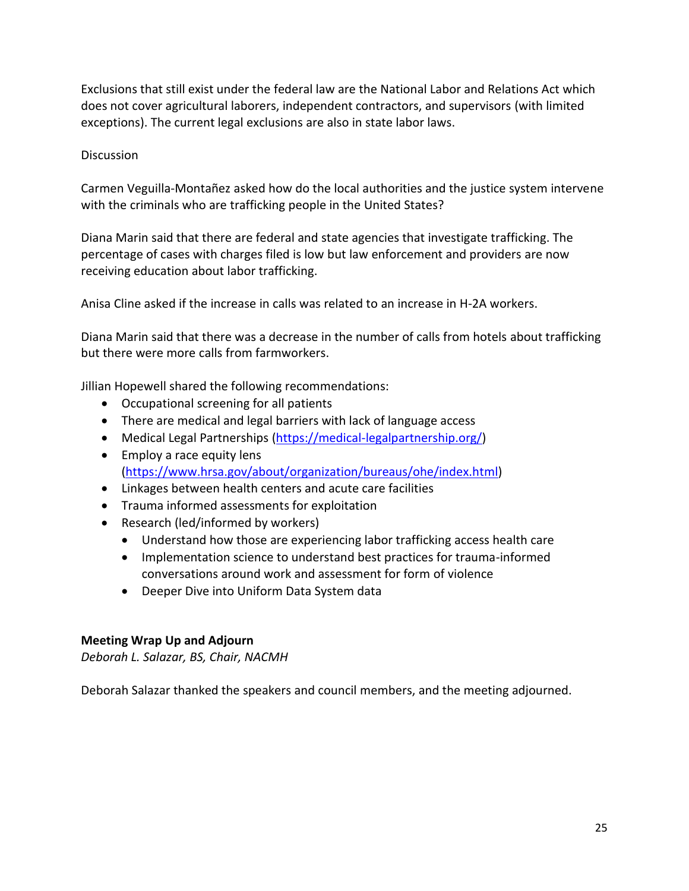Exclusions that still exist under the federal law are the National Labor and Relations Act which does not cover agricultural laborers, independent contractors, and supervisors (with limited exceptions). The current legal exclusions are also in state labor laws.

#### **Discussion**

Carmen Veguilla-Montañez asked how do the local authorities and the justice system intervene with the criminals who are trafficking people in the United States?

Diana Marin said that there are federal and state agencies that investigate trafficking. The percentage of cases with charges filed is low but law enforcement and providers are now receiving education about labor trafficking.

Anisa Cline asked if the increase in calls was related to an increase in H-2A workers.

Diana Marin said that there was a decrease in the number of calls from hotels about trafficking but there were more calls from farmworkers.

Jillian Hopewell shared the following recommendations:

- Occupational screening for all patients
- There are medical and legal barriers with lack of language access
- Medical Legal Partnerships [\(https://medical-legalpartnership.org/\)](https://medical-legalpartnership.org/)
- Employ a race equity lens [\(https://www.hrsa.gov/about/organization/bureaus/ohe/index.html\)](https://www.hrsa.gov/about/organization/bureaus/ohe/index.html)
- Linkages between health centers and acute care facilities
- Trauma informed assessments for exploitation
- Research (led/informed by workers)
	- Understand how those are experiencing labor trafficking access health care
	- Implementation science to understand best practices for trauma-informed conversations around work and assessment for form of violence
	- Deeper Dive into Uniform Data System data

## **Meeting Wrap Up and Adjourn**

*Deborah L. Salazar, BS, Chair, NACMH* 

Deborah Salazar thanked the speakers and council members, and the meeting adjourned.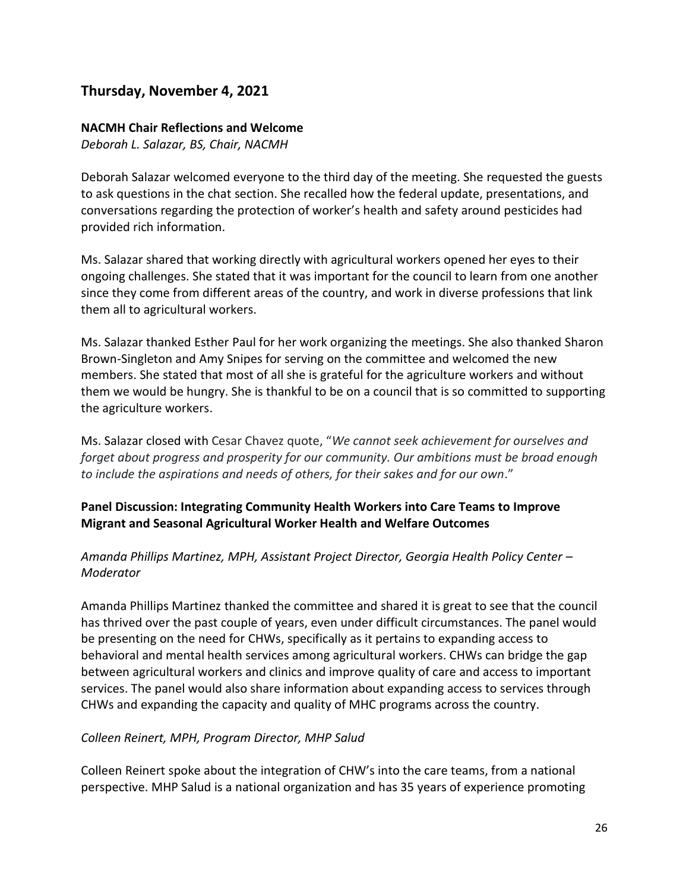## **Thursday, November 4, 2021**

#### **NACMH Chair Reflections and Welcome**

*Deborah L. Salazar, BS, Chair, NACMH* 

Deborah Salazar welcomed everyone to the third day of the meeting. She requested the guests to ask questions in the chat section. She recalled how the federal update, presentations, and conversations regarding the protection of worker's health and safety around pesticides had provided rich information.

Ms. Salazar shared that working directly with agricultural workers opened her eyes to their ongoing challenges. She stated that it was important for the council to learn from one another since they come from different areas of the country, and work in diverse professions that link them all to agricultural workers.

Ms. Salazar thanked Esther Paul for her work organizing the meetings. She also thanked Sharon Brown-Singleton and Amy Snipes for serving on the committee and welcomed the new members. She stated that most of all she is grateful for the agriculture workers and without them we would be hungry. She is thankful to be on a council that is so committed to supporting the agriculture workers.

Ms. Salazar closed with Cesar Chavez quote, "*We cannot seek achievement for ourselves and forget about progress and prosperity for our community. Our ambitions must be broad enough to include the aspirations and needs of others, for their sakes and for our own*."

#### **Panel Discussion: Integrating Community Health Workers into Care Teams to Improve Migrant and Seasonal Agricultural Worker Health and Welfare Outcomes**

#### *Amanda Phillips Martinez, MPH, Assistant Project Director, Georgia Health Policy Center – Moderator*

Amanda Phillips Martinez thanked the committee and shared it is great to see that the council has thrived over the past couple of years, even under difficult circumstances. The panel would be presenting on the need for CHWs, specifically as it pertains to expanding access to behavioral and mental health services among agricultural workers. CHWs can bridge the gap between agricultural workers and clinics and improve quality of care and access to important services. The panel would also share information about expanding access to services through CHWs and expanding the capacity and quality of MHC programs across the country.

#### *Colleen Reinert, MPH, Program Director, MHP Salud*

Colleen Reinert spoke about the integration of CHW's into the care teams, from a national perspective. MHP Salud is a national organization and has 35 years of experience promoting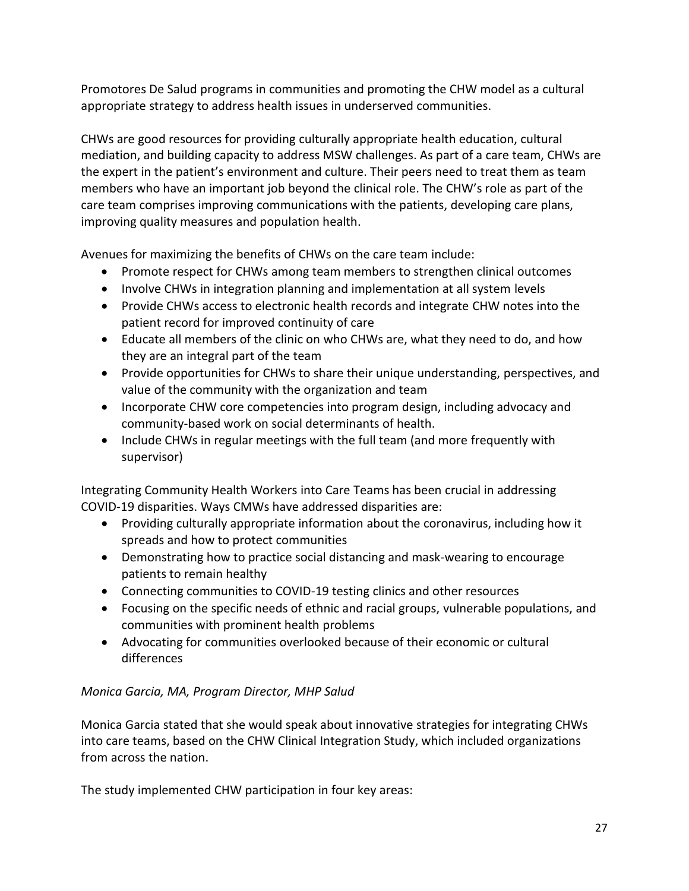Promotores De Salud programs in communities and promoting the CHW model as a cultural appropriate strategy to address health issues in underserved communities.

CHWs are good resources for providing culturally appropriate health education, cultural mediation, and building capacity to address MSW challenges. As part of a care team, CHWs are the expert in the patient's environment and culture. Their peers need to treat them as team members who have an important job beyond the clinical role. The CHW's role as part of the care team comprises improving communications with the patients, developing care plans, improving quality measures and population health.

Avenues for maximizing the benefits of CHWs on the care team include:

- Promote respect for CHWs among team members to strengthen clinical outcomes
- Involve CHWs in integration planning and implementation at all system levels
- Provide CHWs access to electronic health records and integrate CHW notes into the patient record for improved continuity of care
- Educate all members of the clinic on who CHWs are, what they need to do, and how they are an integral part of the team
- Provide opportunities for CHWs to share their unique understanding, perspectives, and value of the community with the organization and team
- Incorporate CHW core competencies into program design, including advocacy and community-based work on social determinants of health.
- Include CHWs in regular meetings with the full team (and more frequently with supervisor)

Integrating Community Health Workers into Care Teams has been crucial in addressing COVID-19 disparities. Ways CMWs have addressed disparities are:

- Providing culturally appropriate information about the coronavirus, including how it spreads and how to protect communities
- Demonstrating how to practice social distancing and mask-wearing to encourage patients to remain healthy
- Connecting communities to COVID-19 testing clinics and other resources
- Focusing on the specific needs of ethnic and racial groups, vulnerable populations, and communities with prominent health problems
- Advocating for communities overlooked because of their economic or cultural differences

#### *Monica Garcia, MA, Program Director, MHP Salud*

Monica Garcia stated that she would speak about innovative strategies for integrating CHWs into care teams, based on the CHW Clinical Integration Study, which included organizations from across the nation.

The study implemented CHW participation in four key areas: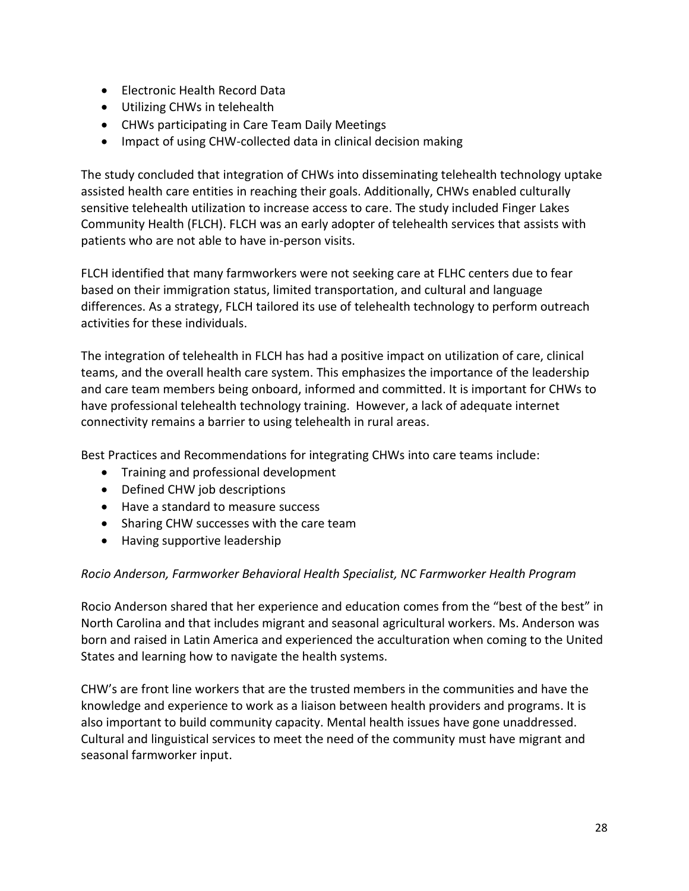- Electronic Health Record Data
- Utilizing CHWs in telehealth
- CHWs participating in Care Team Daily Meetings
- Impact of using CHW-collected data in clinical decision making

The study concluded that integration of CHWs into disseminating telehealth technology uptake assisted health care entities in reaching their goals. Additionally, CHWs enabled culturally sensitive telehealth utilization to increase access to care. The study included Finger Lakes Community Health (FLCH). FLCH was an early adopter of telehealth services that assists with patients who are not able to have in-person visits.

FLCH identified that many farmworkers were not seeking care at FLHC centers due to fear based on their immigration status, limited transportation, and cultural and language differences. As a strategy, FLCH tailored its use of telehealth technology to perform outreach activities for these individuals.

The integration of telehealth in FLCH has had a positive impact on utilization of care, clinical teams, and the overall health care system. This emphasizes the importance of the leadership and care team members being onboard, informed and committed. It is important for CHWs to have professional telehealth technology training. However, a lack of adequate internet connectivity remains a barrier to using telehealth in rural areas.

Best Practices and Recommendations for integrating CHWs into care teams include:

- Training and professional development
- Defined CHW job descriptions
- Have a standard to measure success
- Sharing CHW successes with the care team
- Having supportive leadership

#### *Rocio Anderson, Farmworker Behavioral Health Specialist, NC Farmworker Health Program*

Rocio Anderson shared that her experience and education comes from the "best of the best" in North Carolina and that includes migrant and seasonal agricultural workers. Ms. Anderson was born and raised in Latin America and experienced the acculturation when coming to the United States and learning how to navigate the health systems.

CHW's are front line workers that are the trusted members in the communities and have the knowledge and experience to work as a liaison between health providers and programs. It is also important to build community capacity. Mental health issues have gone unaddressed. Cultural and linguistical services to meet the need of the community must have migrant and seasonal farmworker input.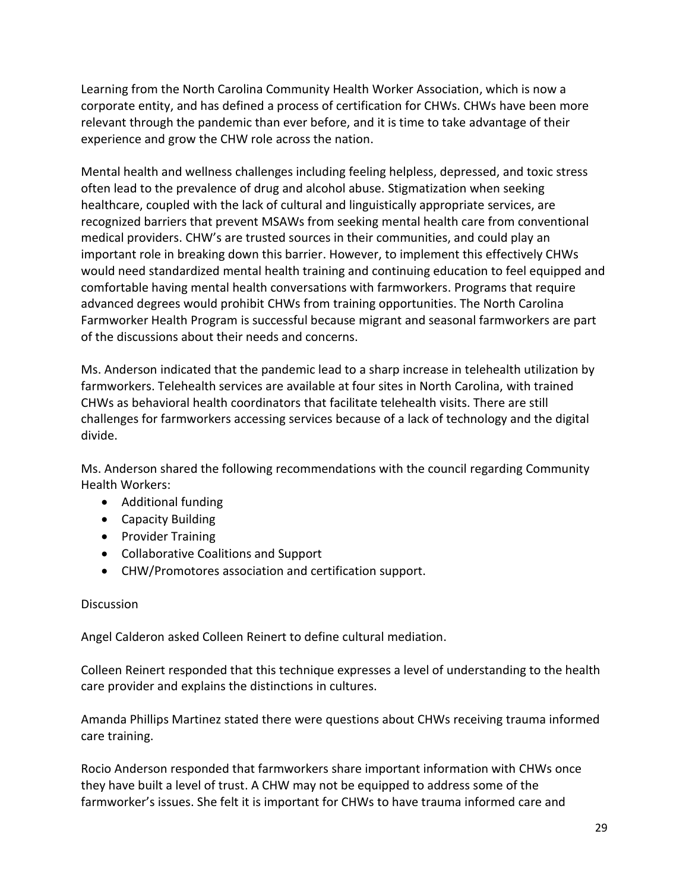Learning from the North Carolina Community Health Worker Association, which is now a corporate entity, and has defined a process of certification for CHWs. CHWs have been more relevant through the pandemic than ever before, and it is time to take advantage of their experience and grow the CHW role across the nation.

Mental health and wellness challenges including feeling helpless, depressed, and toxic stress often lead to the prevalence of drug and alcohol abuse. Stigmatization when seeking healthcare, coupled with the lack of cultural and linguistically appropriate services, are recognized barriers that prevent MSAWs from seeking mental health care from conventional medical providers. CHW's are trusted sources in their communities, and could play an important role in breaking down this barrier. However, to implement this effectively CHWs would need standardized mental health training and continuing education to feel equipped and comfortable having mental health conversations with farmworkers. Programs that require advanced degrees would prohibit CHWs from training opportunities. The North Carolina Farmworker Health Program is successful because migrant and seasonal farmworkers are part of the discussions about their needs and concerns.

Ms. Anderson indicated that the pandemic lead to a sharp increase in telehealth utilization by farmworkers. Telehealth services are available at four sites in North Carolina, with trained CHWs as behavioral health coordinators that facilitate telehealth visits. There are still challenges for farmworkers accessing services because of a lack of technology and the digital divide.

Ms. Anderson shared the following recommendations with the council regarding Community Health Workers:

- Additional funding
- Capacity Building
- Provider Training
- Collaborative Coalitions and Support
- CHW/Promotores association and certification support.

#### **Discussion**

Angel Calderon asked Colleen Reinert to define cultural mediation.

Colleen Reinert responded that this technique expresses a level of understanding to the health care provider and explains the distinctions in cultures.

Amanda Phillips Martinez stated there were questions about CHWs receiving trauma informed care training.

Rocio Anderson responded that farmworkers share important information with CHWs once they have built a level of trust. A CHW may not be equipped to address some of the farmworker's issues. She felt it is important for CHWs to have trauma informed care and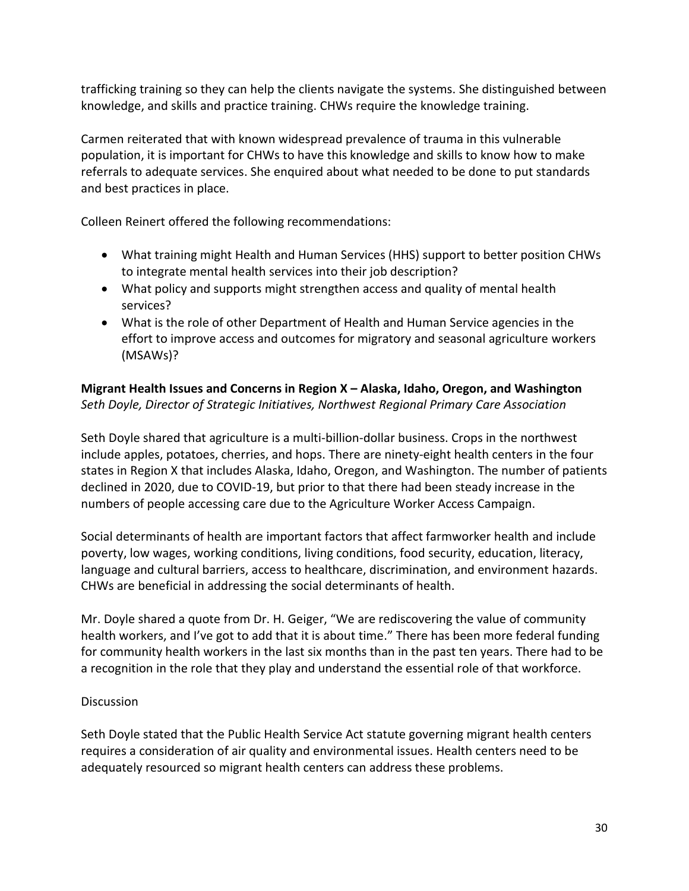trafficking training so they can help the clients navigate the systems. She distinguished between knowledge, and skills and practice training. CHWs require the knowledge training.

Carmen reiterated that with known widespread prevalence of trauma in this vulnerable population, it is important for CHWs to have this knowledge and skills to know how to make referrals to adequate services. She enquired about what needed to be done to put standards and best practices in place.

Colleen Reinert offered the following recommendations:

- What training might Health and Human Services (HHS) support to better position CHWs to integrate mental health services into their job description?
- What policy and supports might strengthen access and quality of mental health services?
- What is the role of other Department of Health and Human Service agencies in the effort to improve access and outcomes for migratory and seasonal agriculture workers (MSAWs)?

## **Migrant Health Issues and Concerns in Region X – Alaska, Idaho, Oregon, and Washington**  *Seth Doyle, Director of Strategic Initiatives, Northwest Regional Primary Care Association*

Seth Doyle shared that agriculture is a multi-billion-dollar business. Crops in the northwest include apples, potatoes, cherries, and hops. There are ninety-eight health centers in the four states in Region X that includes Alaska, Idaho, Oregon, and Washington. The number of patients declined in 2020, due to COVID-19, but prior to that there had been steady increase in the numbers of people accessing care due to the Agriculture Worker Access Campaign.

Social determinants of health are important factors that affect farmworker health and include poverty, low wages, working conditions, living conditions, food security, education, literacy, language and cultural barriers, access to healthcare, discrimination, and environment hazards. CHWs are beneficial in addressing the social determinants of health.

Mr. Doyle shared a quote from Dr. H. Geiger, "We are rediscovering the value of community health workers, and I've got to add that it is about time." There has been more federal funding for community health workers in the last six months than in the past ten years. There had to be a recognition in the role that they play and understand the essential role of that workforce.

## **Discussion**

Seth Doyle stated that the Public Health Service Act statute governing migrant health centers requires a consideration of air quality and environmental issues. Health centers need to be adequately resourced so migrant health centers can address these problems.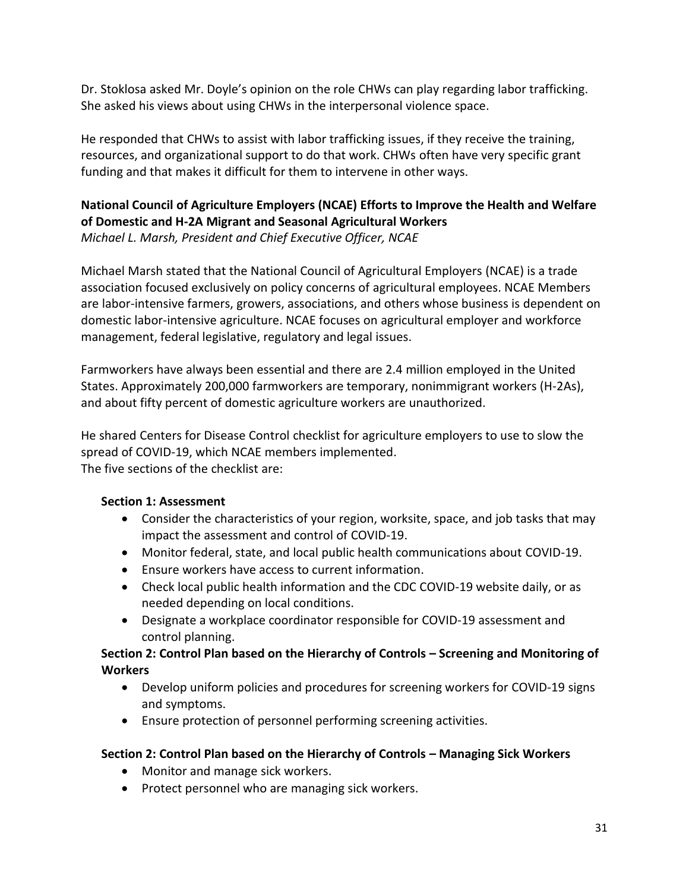Dr. Stoklosa asked Mr. Doyle's opinion on the role CHWs can play regarding labor trafficking. She asked his views about using CHWs in the interpersonal violence space.

He responded that CHWs to assist with labor trafficking issues, if they receive the training, resources, and organizational support to do that work. CHWs often have very specific grant funding and that makes it difficult for them to intervene in other ways.

## **National Council of Agriculture Employers (NCAE) Efforts to Improve the Health and Welfare of Domestic and H-2A Migrant and Seasonal Agricultural Workers**  *Michael L. Marsh, President and Chief Executive Officer, NCAE*

Michael Marsh stated that the National Council of Agricultural Employers (NCAE) is a trade association focused exclusively on policy concerns of agricultural employees. NCAE Members are labor-intensive farmers, growers, associations, and others whose business is dependent on domestic labor-intensive agriculture. NCAE focuses on agricultural employer and workforce management, federal legislative, regulatory and legal issues.

Farmworkers have always been essential and there are 2.4 million employed in the United States. Approximately 200,000 farmworkers are temporary, nonimmigrant workers (H-2As), and about fifty percent of domestic agriculture workers are unauthorized.

He shared Centers for Disease Control checklist for agriculture employers to use to slow the spread of COVID-19, which NCAE members implemented. The five sections of the checklist are:

#### **Section 1: Assessment**

- Consider the characteristics of your region, worksite, space, and job tasks that may impact the assessment and control of COVID-19.
- Monitor federal, state, and local public health communications about COVID-19.
- Ensure workers have access to current information.
- Check local public health information and the CDC COVID-19 website daily, or as needed depending on local conditions.
- Designate a workplace coordinator responsible for COVID-19 assessment and control planning.

#### **Section 2: Control Plan based on the Hierarchy of Controls – Screening and Monitoring of Workers**

- Develop uniform policies and procedures for screening workers for COVID-19 signs and symptoms.
- Ensure protection of personnel performing screening activities.

#### **Section 2: Control Plan based on the Hierarchy of Controls – Managing Sick Workers**

- Monitor and manage sick workers.
- Protect personnel who are managing sick workers.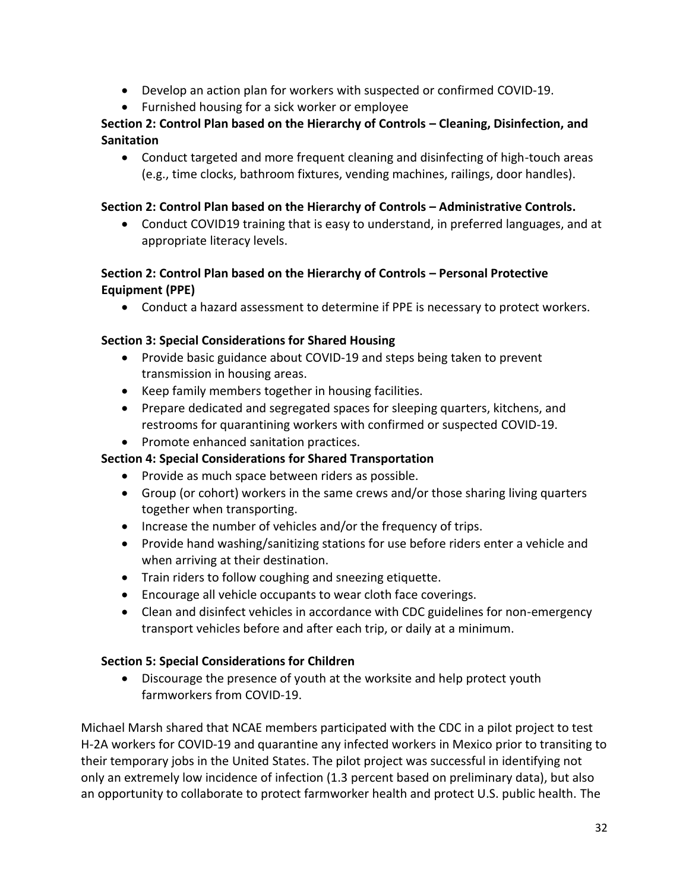- Develop an action plan for workers with suspected or confirmed COVID-19.
- Furnished housing for a sick worker or employee

## **Section 2: Control Plan based on the Hierarchy of Controls – Cleaning, Disinfection, and Sanitation**

• Conduct targeted and more frequent cleaning and disinfecting of high-touch areas (e.g., time clocks, bathroom fixtures, vending machines, railings, door handles).

#### **Section 2: Control Plan based on the Hierarchy of Controls – Administrative Controls.**

• Conduct COVID19 training that is easy to understand, in preferred languages, and at appropriate literacy levels.

## **Section 2: Control Plan based on the Hierarchy of Controls – Personal Protective Equipment (PPE)**

• Conduct a hazard assessment to determine if PPE is necessary to protect workers.

## **Section 3: Special Considerations for Shared Housing**

- Provide basic guidance about COVID-19 and steps being taken to prevent transmission in housing areas.
- Keep family members together in housing facilities.
- Prepare dedicated and segregated spaces for sleeping quarters, kitchens, and restrooms for quarantining workers with confirmed or suspected COVID-19.
- Promote enhanced sanitation practices.

## **Section 4: Special Considerations for Shared Transportation**

- Provide as much space between riders as possible.
- Group (or cohort) workers in the same crews and/or those sharing living quarters together when transporting.
- Increase the number of vehicles and/or the frequency of trips.
- Provide hand washing/sanitizing stations for use before riders enter a vehicle and when arriving at their destination.
- Train riders to follow coughing and sneezing etiquette.
- Encourage all vehicle occupants to wear cloth face coverings.
- Clean and disinfect vehicles in accordance with CDC guidelines for non-emergency transport vehicles before and after each trip, or daily at a minimum.

#### **Section 5: Special Considerations for Children**

• Discourage the presence of youth at the worksite and help protect youth farmworkers from COVID-19.

Michael Marsh shared that NCAE members participated with the CDC in a pilot project to test H-2A workers for COVID-19 and quarantine any infected workers in Mexico prior to transiting to their temporary jobs in the United States. The pilot project was successful in identifying not only an extremely low incidence of infection (1.3 percent based on preliminary data), but also an opportunity to collaborate to protect farmworker health and protect U.S. public health. The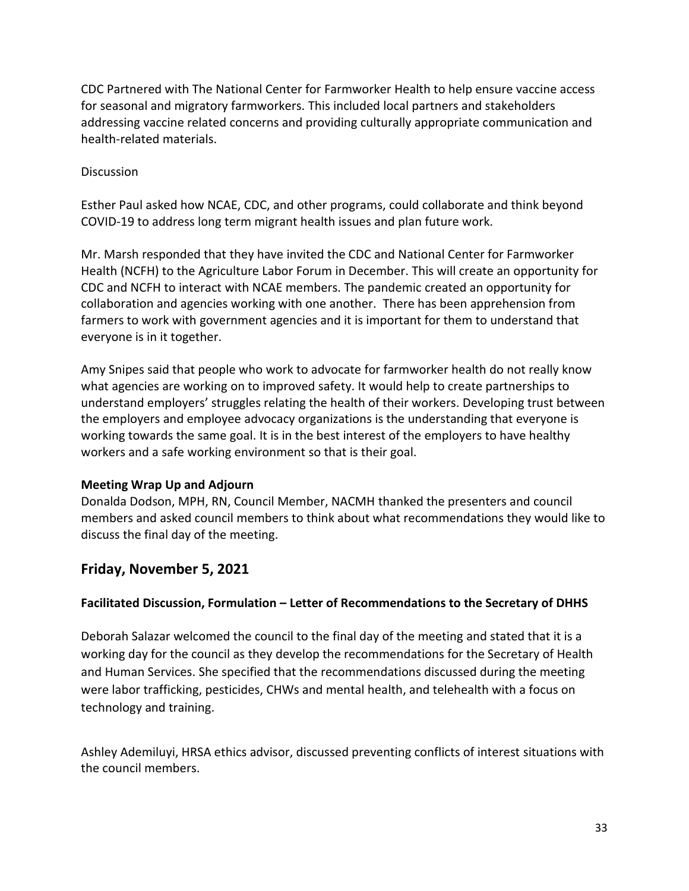CDC Partnered with The National Center for Farmworker Health to help ensure vaccine access for seasonal and migratory farmworkers. This included local partners and stakeholders addressing vaccine related concerns and providing culturally appropriate communication and health-related materials.

#### **Discussion**

Esther Paul asked how NCAE, CDC, and other programs, could collaborate and think beyond COVID-19 to address long term migrant health issues and plan future work.

Mr. Marsh responded that they have invited the CDC and National Center for Farmworker Health (NCFH) to the Agriculture Labor Forum in December. This will create an opportunity for CDC and NCFH to interact with NCAE members. The pandemic created an opportunity for collaboration and agencies working with one another. There has been apprehension from farmers to work with government agencies and it is important for them to understand that everyone is in it together.

Amy Snipes said that people who work to advocate for farmworker health do not really know what agencies are working on to improved safety. It would help to create partnerships to understand employers' struggles relating the health of their workers. Developing trust between the employers and employee advocacy organizations is the understanding that everyone is working towards the same goal. It is in the best interest of the employers to have healthy workers and a safe working environment so that is their goal.

#### **Meeting Wrap Up and Adjourn**

Donalda Dodson, MPH, RN, Council Member, NACMH thanked the presenters and council members and asked council members to think about what recommendations they would like to discuss the final day of the meeting.

## **Friday, November 5, 2021**

#### **Facilitated Discussion, Formulation – Letter of Recommendations to the Secretary of DHHS**

Deborah Salazar welcomed the council to the final day of the meeting and stated that it is a working day for the council as they develop the recommendations for the Secretary of Health and Human Services. She specified that the recommendations discussed during the meeting were labor trafficking, pesticides, CHWs and mental health, and telehealth with a focus on technology and training.

Ashley Ademiluyi, HRSA ethics advisor, discussed preventing conflicts of interest situations with the council members.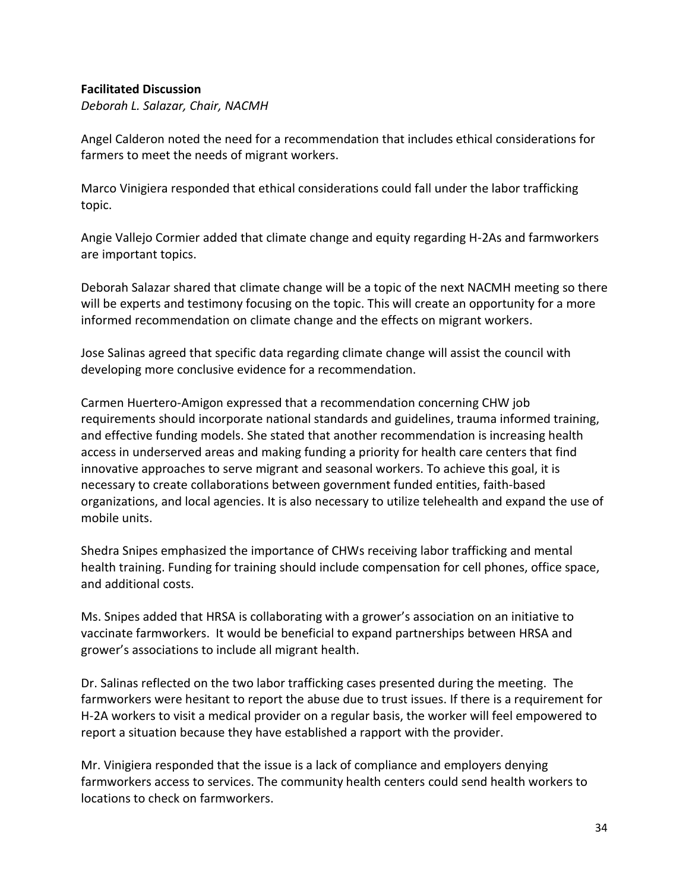#### **Facilitated Discussion**

*Deborah L. Salazar, Chair, NACMH* 

Angel Calderon noted the need for a recommendation that includes ethical considerations for farmers to meet the needs of migrant workers.

Marco Vinigiera responded that ethical considerations could fall under the labor trafficking topic.

Angie Vallejo Cormier added that climate change and equity regarding H-2As and farmworkers are important topics.

Deborah Salazar shared that climate change will be a topic of the next NACMH meeting so there will be experts and testimony focusing on the topic. This will create an opportunity for a more informed recommendation on climate change and the effects on migrant workers.

Jose Salinas agreed that specific data regarding climate change will assist the council with developing more conclusive evidence for a recommendation.

Carmen Huertero-Amigon expressed that a recommendation concerning CHW job requirements should incorporate national standards and guidelines, trauma informed training, and effective funding models. She stated that another recommendation is increasing health access in underserved areas and making funding a priority for health care centers that find innovative approaches to serve migrant and seasonal workers. To achieve this goal, it is necessary to create collaborations between government funded entities, faith-based organizations, and local agencies. It is also necessary to utilize telehealth and expand the use of mobile units.

Shedra Snipes emphasized the importance of CHWs receiving labor trafficking and mental health training. Funding for training should include compensation for cell phones, office space, and additional costs.

Ms. Snipes added that HRSA is collaborating with a grower's association on an initiative to vaccinate farmworkers. It would be beneficial to expand partnerships between HRSA and grower's associations to include all migrant health.

Dr. Salinas reflected on the two labor trafficking cases presented during the meeting. The farmworkers were hesitant to report the abuse due to trust issues. If there is a requirement for H-2A workers to visit a medical provider on a regular basis, the worker will feel empowered to report a situation because they have established a rapport with the provider.

Mr. Vinigiera responded that the issue is a lack of compliance and employers denying farmworkers access to services. The community health centers could send health workers to locations to check on farmworkers.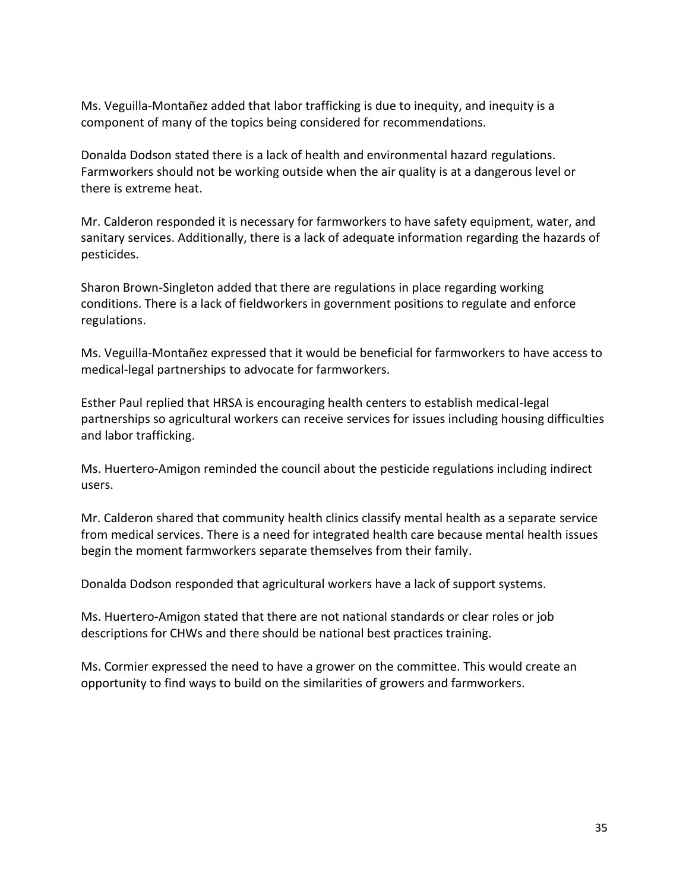Ms. Veguilla-Montañez added that labor trafficking is due to inequity, and inequity is a component of many of the topics being considered for recommendations.

Donalda Dodson stated there is a lack of health and environmental hazard regulations. Farmworkers should not be working outside when the air quality is at a dangerous level or there is extreme heat.

Mr. Calderon responded it is necessary for farmworkers to have safety equipment, water, and sanitary services. Additionally, there is a lack of adequate information regarding the hazards of pesticides.

Sharon Brown-Singleton added that there are regulations in place regarding working conditions. There is a lack of fieldworkers in government positions to regulate and enforce regulations.

Ms. Veguilla-Montañez expressed that it would be beneficial for farmworkers to have access to medical-legal partnerships to advocate for farmworkers.

Esther Paul replied that HRSA is encouraging health centers to establish medical-legal partnerships so agricultural workers can receive services for issues including housing difficulties and labor trafficking.

Ms. Huertero-Amigon reminded the council about the pesticide regulations including indirect users.

Mr. Calderon shared that community health clinics classify mental health as a separate service from medical services. There is a need for integrated health care because mental health issues begin the moment farmworkers separate themselves from their family.

Donalda Dodson responded that agricultural workers have a lack of support systems.

Ms. Huertero-Amigon stated that there are not national standards or clear roles or job descriptions for CHWs and there should be national best practices training.

Ms. Cormier expressed the need to have a grower on the committee. This would create an opportunity to find ways to build on the similarities of growers and farmworkers.